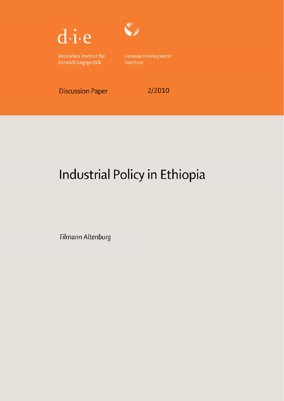

Deutsches Institut für Entwicklungspolitik

 $\zeta$ 

**German Development** Institute

**Discussion Paper** 

2/2010

# Industrial Policy in Ethiopia

Tilmann Altenburg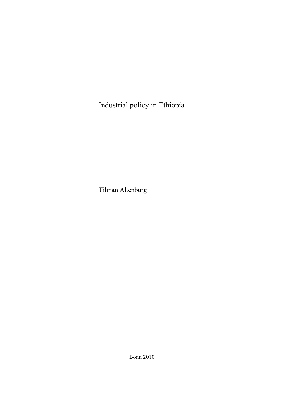Industrial policy in Ethiopia

Tilman Altenburg

Bonn 2010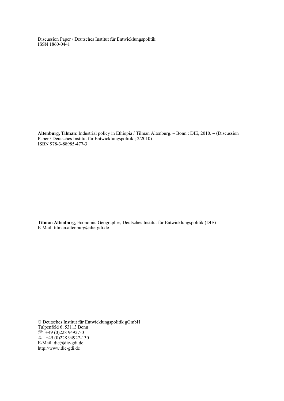Discussion Paper / Deutsches Institut für Entwicklungspolitik ISSN 1860-0441

**Altenburg, Tilman**: Industrial policy in Ethiopia / Tilman Altenburg. – Bonn : DIE, 2010. − (Discussion Paper / Deutsches Institut für Entwicklungspolitik ; 2/2010) ISBN 978-3-88985-477-3

**Tilman Altenburg**, Economic Geographer, Deutsches Institut für Entwicklungspolitik (DIE) E-Mail: tilman.altenburg@die-gdi.de

© Deutsches Institut für Entwicklungspolitik gGmbH Tulpenfeld 6, 53113 Bonn  $\textcircled{2}$  +49 (0)228 94927-0  $\overline{49}$  +49 (0)228 94927-130 E-Mail: die@die-gdi.de http://www.die-gdi.de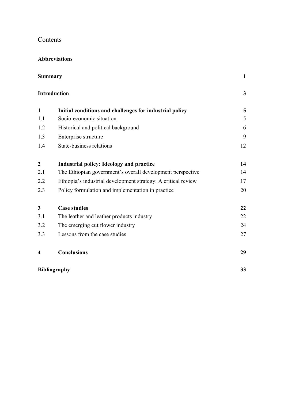# Contents

#### **Abbreviations**

| <b>Summary</b><br><b>Introduction</b> |                                                               | 1  |
|---------------------------------------|---------------------------------------------------------------|----|
|                                       |                                                               | 3  |
| $\mathbf{1}$                          | Initial conditions and challenges for industrial policy       | 5  |
| 1.1                                   | Socio-economic situation                                      | 5  |
| 1.2                                   | Historical and political background                           | 6  |
| 1.3                                   | Enterprise structure                                          | 9  |
| 1.4                                   | State-business relations                                      | 12 |
| $\boldsymbol{2}$                      | <b>Industrial policy: Ideology and practice</b>               | 14 |
| 2.1                                   | The Ethiopian government's overall development perspective    | 14 |
| 2.2                                   | Ethiopia's industrial development strategy: A critical review | 17 |
| 2.3                                   | Policy formulation and implementation in practice             | 20 |
| $\mathbf{3}$                          | <b>Case studies</b>                                           | 22 |
| 3.1                                   | The leather and leather products industry                     | 22 |
| 3.2                                   | The emerging cut flower industry                              | 24 |
| 3.3                                   | Lessons from the case studies                                 | 27 |
| $\boldsymbol{4}$                      | <b>Conclusions</b>                                            | 29 |
| <b>Bibliography</b>                   |                                                               | 33 |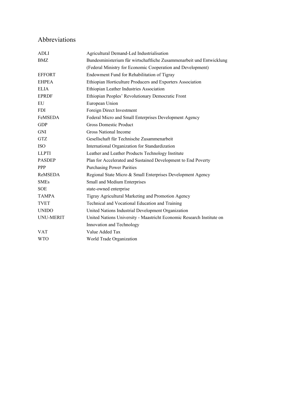# Abbreviations

| ADLI             | Agricultural Demand-Led Industrialisation                             |  |
|------------------|-----------------------------------------------------------------------|--|
| <b>BMZ</b>       | Bundesministerium für wirtschaftliche Zusammenarbeit und Entwicklung  |  |
|                  | (Federal Ministry for Economic Cooperation and Development)           |  |
| <b>EFFORT</b>    | Endowment Fund for Rehabilitation of Tigray                           |  |
| <b>EHPEA</b>     | Ethiopian Horticulture Producers and Exporters Association            |  |
| <b>ELIA</b>      | Ethiopian Leather Industries Association                              |  |
| <b>EPRDF</b>     | Ethiopian Peoples' Revolutionary Democratic Front                     |  |
| EU               | European Union                                                        |  |
| <b>FDI</b>       | Foreign Direct Investment                                             |  |
| FeMSEDA          | Federal Micro and Small Enterprises Development Agency                |  |
| <b>GDP</b>       | <b>Gross Domestic Product</b>                                         |  |
| <b>GNI</b>       | <b>Gross National Income</b>                                          |  |
| <b>GTZ</b>       | Gesellschaft für Technische Zusammenarbeit                            |  |
| <b>ISO</b>       | International Organization for Standardization                        |  |
| <b>LLPTI</b>     | Leather and Leather Products Technology Institute                     |  |
| <b>PASDEP</b>    | Plan for Accelerated and Sustained Development to End Poverty         |  |
| <b>PPP</b>       | <b>Purchasing Power Parities</b>                                      |  |
| ReMSEDA          | Regional State Micro & Small Enterprises Development Agency           |  |
| <b>SMEs</b>      | Small and Medium Enterprises                                          |  |
| <b>SOE</b>       | state-owned enterprise                                                |  |
| <b>TAMPA</b>     | Tigray Agricultural Marketing and Promotion Agency                    |  |
| <b>TVET</b>      | Technical and Vocational Education and Training                       |  |
| <b>UNIDO</b>     | United Nations Industrial Development Organization                    |  |
| <b>UNU-MERIT</b> | United Nations University - Maastricht Economic Research Institute on |  |
|                  | Innovation and Technology                                             |  |
| <b>VAT</b>       | Value Added Tax                                                       |  |
| <b>WTO</b>       | World Trade Organization                                              |  |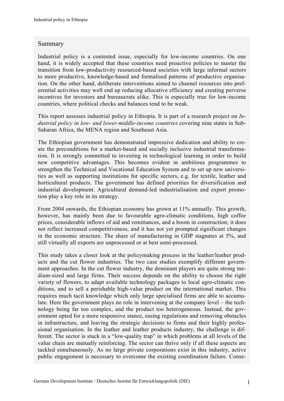#### Summary

Industrial policy is a contested issue, especially for low-income countries. On one hand, it is widely accepted that these countries need proactive policies to master the transition from low-productivity resourced-based societies with large informal sectors to more productive, knowledge-based and formalised patterns of productive organisation. On the other hand, deliberate interventions aimed to channel resources into preferential activities may well end up reducing allocative efficiency and creating perverse incentives for investors and bureaucrats alike. This is especially true for low-income countries, where political checks and balances tend to be weak.

This report assesses industrial policy in Ethiopia. It is part of a research project on *Industrial policy in low- and lower-middle-income countries* covering nine states in Sub-Saharan Africa, the MENA region and Southeast Asia.

The Ethiopian government has demonstrated impressive dedication and ability to create the preconditions for a market-based and socially inclusive industrial transformation. It is strongly committed to investing in technological learning in order to build new competitive advantages. This becomes evident in ambitious programmes to strengthen the Technical and Vocational Education System and to set up new universities as well as supporting institutions for specific sectors, e.g. for textile, leather and horticultural products. The government has defined priorities for diversification and industrial development. Agricultural demand-led industrialisation and export promotion play a key role in its strategy.

From 2004 onwards, the Ethiopian economy has grown at 11% annually. This growth, however, has mainly been due to favourable agro-climatic conditions, high coffee prices, considerable inflows of aid and remittances, and a boom in construction; it does not reflect increased competitiveness, and it has not yet prompted significant changes in the economic structure. The share of manufacturing in GDP stagnates at 5%, and still virtually all exports are unprocessed or at best semi-processed.

This study takes a closer look at the policymaking process in the leather/leather products and the cut flower industries. The two case studies exemplify different government approaches. In the cut flower industry, the dominant players are quite strong medium-sized and large firms. Their success depends on the ability to choose the right variety of flowers, to adapt available technology packages to local agro-climatic conditions, and to sell a perishable high-value product on the international market. This requires much tacit knowledge which only large specialised firms are able to accumulate. Here the government plays no role in intervening at the company level – the technology being far too complex, and the product too heterogeneous. Instead, the government opted for a more responsive stance, easing regulations and removing obstacles in infrastructure, and leaving the strategic decisions to firms and their highly professional organisation. In the leather and leather products industry, the challenge is different. The sector is stuck in a "low-quality trap" in which problems at all levels of the value chain are mutually reinforcing. The sector can thrive only if all these aspects are tackled simultaneously. As no large private corporations exist in this industry, active public engagement is necessary to overcome the existing coordination failure. Conse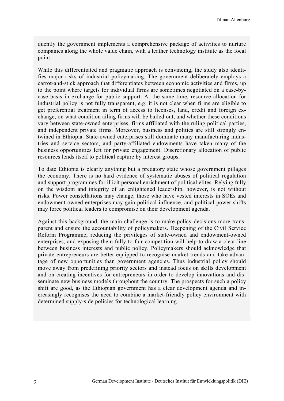quently the government implements a comprehensive package of activities to nurture companies along the whole value chain, with a leather technology institute as the focal point.

While this differentiated and pragmatic approach is convincing, the study also identifies major risks of industrial policymaking. The government deliberately employs a carrot-and-stick approach that differentiates between economic activities and firms, up to the point where targets for individual firms are sometimes negotiated on a case-bycase basis in exchange for public support. At the same time, resource allocation for industrial policy is not fully transparent, e.g. it is not clear when firms are eligible to get preferential treatment in term of access to licenses, land, credit and foreign exchange, on what condition ailing firms will be bailed out, and whether these conditions vary between state-owned enterprises, firms affiliated with the ruling political parties, and independent private firms. Moreover, business and politics are still strongly entwined in Ethiopia. State-owned enterprises still dominate many manufacturing industries and service sectors, and party-affiliated endowments have taken many of the business opportunities left for private engagement. Discretionary allocation of public resources lends itself to political capture by interest groups.

To date Ethiopia is clearly anything but a predatory state whose government pillages the economy. There is no hard evidence of systematic abuses of political regulation and support programmes for illicit personal enrichment of political elites. Relying fully on the wisdom and integrity of an enlightened leadership, however, is not without risks. Power constellations may change, those who have vested interests in SOEs and endowment-owned enterprises may gain political influence, and political power shifts may force political leaders to compromise on their development agenda.

Against this background, the main challenge is to make policy decisions more transparent and ensure the accountability of policymakers. Deepening of the Civil Service Reform Programme, reducing the privileges of state-owned and endowment-owned enterprises, and exposing them fully to fair competition will help to draw a clear line between business interests and public policy. Policymakers should acknowledge that private entrepreneurs are better equipped to recognise market trends and take advantage of new opportunities than government agencies. Thus industrial policy should move away from predefining priority sectors and instead focus on skills development and on creating incentives for entrepreneurs in order to develop innovations and disseminate new business models throughout the country. The prospects for such a policy shift are good, as the Ethiopian government has a clear development agenda and increasingly recognises the need to combine a market-friendly policy environment with determined supply-side policies for technological learning.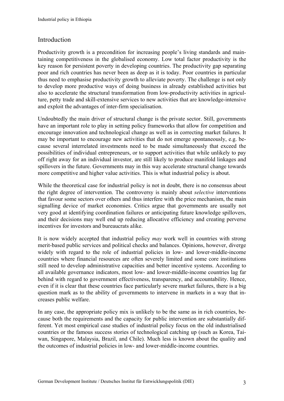# **Introduction**

Productivity growth is a precondition for increasing people's living standards and maintaining competitiveness in the globalised economy. Low total factor productivity is the key reason for persistent poverty in developing countries. The productivity gap separating poor and rich countries has never been as deep as it is today. Poor countries in particular thus need to emphasise productivity growth to alleviate poverty. The challenge is not only to develop more productive ways of doing business in already established activities but also to accelerate the structural transformation from low-productivity activities in agriculture, petty trade and skill-extensive services to new activities that are knowledge-intensive and exploit the advantages of inter-firm specialisation.

Undoubtedly the main driver of structural change is the private sector. Still, governments have an important role to play in setting policy frameworks that allow for competition and encourage innovation and technological change as well as in correcting market failures. It may be important to encourage new activities that do not emerge spontaneously, e.g. because several interrelated investments need to be made simultaneously that exceed the possibilities of individual entrepreneurs, or to support activities that while unlikely to pay off right away for an individual investor, are still likely to produce manifold linkages and spillovers in the future. Governments may in this way accelerate structural change towards more competitive and higher value activities. This is what industrial policy is about.

While the theoretical case for industrial policy is not in doubt, there is no consensus about the right degree of intervention. The controversy is mainly about *selective* interventions that favour some sectors over others and thus interfere with the price mechanism, the main signalling device of market economies. Critics argue that governments are usually not very good at identifying coordination failures or anticipating future knowledge spillovers, and their decisions may well end up reducing allocative efficiency and creating perverse incentives for investors and bureaucrats alike.

It is now widely accepted that industrial policy *may* work well in countries with strong merit-based public services and political checks and balances. Opinions, however, diverge widely with regard to the role of industrial policies in low- and lower-middle-income countries where financial resources are often severely limited and some core institutions still need to develop administrative capacities and better incentive systems. According to all available governance indicators, most low- and lower-middle-income countries lag far behind with regard to government effectiveness, transparency, and accountability. Hence, even if it is clear that these countries face particularly severe market failures, there is a big question mark as to the ability of governments to intervene in markets in a way that increases public welfare.

In any case, the appropriate policy mix is unlikely to be the same as in rich countries, because both the requirements and the capacity for public intervention are substantially different. Yet most empirical case studies of industrial policy focus on the old industrialised countries or the famous success stories of technological catching up (such as Korea, Taiwan, Singapore, Malaysia, Brazil, and Chile). Much less is known about the quality and the outcomes of industrial policies in low- and lower-middle-income countries.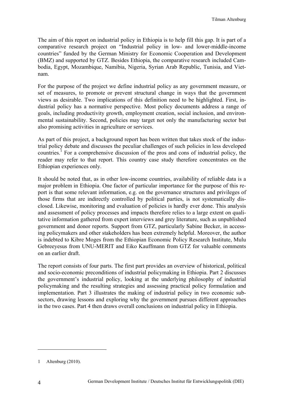The aim of this report on industrial policy in Ethiopia is to help fill this gap. It is part of a comparative research project on "Industrial policy in low- and lower-middle-income countries" funded by the German Ministry for Economic Cooperation and Development (BMZ) and supported by GTZ. Besides Ethiopia, the comparative research included Cambodia, Egypt, Mozambique, Namibia, Nigeria, Syrian Arab Republic, Tunisia, and Vietnam.

For the purpose of the project we define industrial policy as any government measure, or set of measures, to promote or prevent structural change in ways that the government views as desirable. Two implications of this definition need to be highlighted. First, industrial policy has a normative perspective. Most policy documents address a range of goals, including productivity growth, employment creation, social inclusion, and environmental sustainability. Second, policies may target not only the manufacturing sector but also promising activities in agriculture or services.

As part of this project, a background report has been written that takes stock of the industrial policy debate and discusses the peculiar challenges of such policies in less developed countries.<sup>1</sup> For a comprehensive discussion of the pros and cons of industrial policy, the reader may refer to that report. This country case study therefore concentrates on the Ethiopian experiences only.

It should be noted that, as in other low-income countries, availability of reliable data is a major problem in Ethiopia. One factor of particular importance for the purpose of this report is that some relevant information, e.g. on the governance structures and privileges of those firms that are indirectly controlled by political parties, is not systematically disclosed. Likewise, monitoring and evaluation of policies is hardly ever done. This analysis and assessment of policy processes and impacts therefore relies to a large extent on qualitative information gathered from expert interviews and grey literature, such as unpublished government and donor reports. Support from GTZ, particularly Sabine Becker, in accessing policymakers and other stakeholders has been extremely helpful. Moreover, the author is indebted to Kibre Moges from the Ethiopian Economic Policy Research Institute, Mulu Gebreeyesus from UNU-MERIT and Eiko Kauffmann from GTZ for valuable comments on an earlier draft.

The report consists of four parts. The first part provides an overview of historical, political and socio-economic preconditions of industrial policymaking in Ethiopia. Part 2 discusses the government's industrial policy, looking at the underlying philosophy of industrial policymaking and the resulting strategies and assessing practical policy formulation and implementation. Part 3 illustrates the making of industrial policy in two economic subsectors, drawing lessons and exploring why the government pursues different approaches in the two cases. Part 4 then draws overall conclusions on industrial policy in Ethiopia.

<sup>1</sup> Altenburg (2010).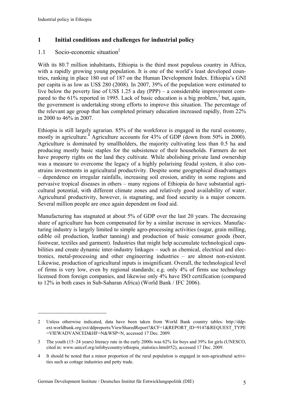$\overline{a}$ 

## **1 Initial conditions and challenges for industrial policy**

## 1.1 Socio-economic situation2

With its 80.7 million inhabitants, Ethiopia is the third most populous country in Africa, with a rapidly growing young population. It is one of the world's least developed countries, ranking in place 180 out of 187 on the Human Development Index. Ethiopia's GNI per capita is as low as US\$ 280 (2008). In 2007, 39% of the population were estimated to live below the poverty line of US\$ 1.25 a day (PPP) – a considerable improvement compared to the  $61\%$  reported in 1995. Lack of basic education is a big problem,<sup>3</sup> but, again, the government is undertaking strong efforts to improve this situation. The percentage of the relevant age group that has completed primary education increased rapidly, from 22% in 2000 to 46% in 2007.

Ethiopia is still largely agrarian. 85% of the workforce is engaged in the rural economy, mostly in agriculture.<sup>4</sup> Agriculture accounts for 43% of GDP (down from 50% in 2000). Agriculture is dominated by smallholders, the majority cultivating less than 0.5 ha and producing mostly basic staples for the subsistence of their households. Farmers do not have property rights on the land they cultivate. While abolishing private land ownership was a measure to overcome the legacy of a highly polarising feudal system, it also constrains investments in agricultural productivity. Despite some geographical disadvantages – dependence on irregular rainfalls, increasing soil erosion, aridity in some regions and pervasive tropical diseases in others – many regions of Ethiopia do have substantial agricultural potential, with different climate zones and relatively good availability of water. Agricultural productivity, however, is stagnating, and food security is a major concern. Several million people are once again dependent on food aid.

Manufacturing has stagnated at about 5% of GDP over the last 20 years. The decreasing share of agriculture has been compensated for by a similar increase in services. Manufacturing industry is largely limited to simple agro-processing activities (sugar, grain milling, edible oil production, leather tanning) and production of basic consumer goods (beer, footwear, textiles and garment). Industries that might help accumulate technological capabilities and create dynamic inter-industry linkages – such as chemical, electrical and electronics, metal-processing and other engineering industries – are almost non-existent. Likewise, production of agricultural inputs is insignificant. Overall, the technological level of firms is very low, even by regional standards; e.g. only 4% of firms use technology licensed from foreign companies, and likewise only 4% have ISO certification (compared to 12% in both cases in Sub-Saharan Africa) (World Bank / IFC 2006).

<sup>2</sup> Unless otherwise indicated, data have been taken from World Bank country tables: http://ddpext.worldbank.org/ext/ddpreports/ViewSharedReport?&CF=1&REPORT\_ID=9147&REQUEST\_TYPE =VIEWADVANCED&HF=N&WSP=N, accessed 17 Dec. 2009.

<sup>3</sup> The youth (15–24 years) literacy rate in the early 2000s was 62% for boys and 39% for girls (UNESCO, cited in: www.unicef.org/infobycountry/ethiopia\_statistics.html#52), accessed 17 Dec. 2009.

<sup>4</sup> It should be noted that a minor proportion of the rural population is engaged in non-agricultural activities such as cottage industries and petty trade.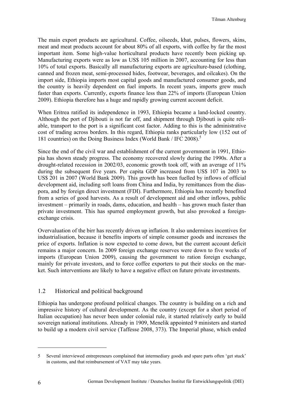The main export products are agricultural. Coffee, oilseeds, khat, pulses, flowers, skins, meat and meat products account for about 80% of all exports, with coffee by far the most important item. Some high-value horticultural products have recently been picking up. Manufacturing exports were as low as US\$ 105 million in 2007, accounting for less than 10% of total exports. Basically all manufacturing exports are agriculture-based (clothing, canned and frozen meat, semi-processed hides, footwear, beverages, and oilcakes). On the import side, Ethiopia imports most capital goods and manufactured consumer goods, and the country is heavily dependent on fuel imports. In recent years, imports grew much faster than exports. Currently, exports finance less than 22% of imports (European Union 2009). Ethiopia therefore has a huge and rapidly growing current account deficit.

When Eritrea ratified its independence in 1993, Ethiopia became a land-locked country. Although the port of Djibouti is not far off, and shipment through Djibouti is quite reliable, transport to the port is a significant cost factor. Adding to this is the administrative cost of trading across borders. In this regard, Ethiopia ranks particularly low (152 out of 181 countries) on the Doing Business Index (World Bank / IFC 2008).<sup>5</sup>

Since the end of the civil war and establishment of the current government in 1991, Ethiopia has shown steady progress. The economy recovered slowly during the 1990s. After a drought-related recession in 2002/03, economic growth took off, with an average of 11% during the subsequent five years. Per capita GDP increased from US\$ 107 in 2003 to US\$ 201 in 2007 (World Bank 2009). This growth has been fuelled by inflows of official development aid, including soft loans from China and India, by remittances from the diaspora, and by foreign direct investment (FDI). Furthermore, Ethiopia has recently benefited from a series of good harvests. As a result of development aid and other inflows, public investment – primarily in roads, dams, education, and health – has grown much faster than private investment. This has spurred employment growth, but also provoked a foreignexchange crisis.

Overvaluation of the birr has recently driven up inflation. It also undermines incentives for industrialisation, because it benefits imports of simple consumer goods and increases the price of exports. Inflation is now expected to come down, but the current account deficit remains a major concern. In 2009 foreign exchange reserves were down to five weeks of imports (European Union 2009), causing the government to ration foreign exchange, mainly for private investors, and to force coffee exporters to put their stocks on the market. Such interventions are likely to have a negative effect on future private investments.

## 1.2 Historical and political background

Ethiopia has undergone profound political changes. The country is building on a rich and impressive history of cultural development. As the country (except for a short period of Italian occupation) has never been under colonial rule, it started relatively early to build sovereign national institutions. Already in 1909, Menelik appointed 9 ministers and started to build up a modern civil service (Taffesse 2008, 373). The Imperial phase, which ended

<sup>5</sup> Several interviewed entrepreneurs complained that intermediary goods and spare parts often 'get stuck' in customs, and that reimbursement of VAT may take years.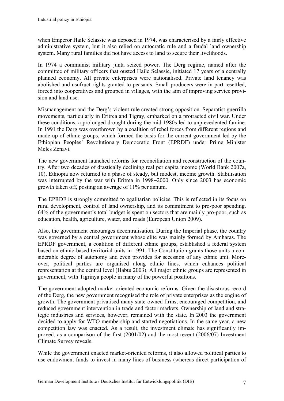when Emperor Haile Selassie was deposed in 1974, was characterised by a fairly effective administrative system, but it also relied on autocratic rule and a feudal land ownership system. Many rural families did not have access to land to secure their livelihoods.

In 1974 a communist military junta seized power. The Derg regime, named after the committee of military officers that ousted Haile Selassie, initiated 17 years of a centrally planned economy. All private enterprises were nationalised. Private land tenancy was abolished and usufruct rights granted to peasants. Small producers were in part resettled, forced into cooperatives and grouped in villages, with the aim of improving service provision and land use.

Mismanagement and the Derg's violent rule created strong opposition. Separatist guerrilla movements, particularly in Eritrea and Tigray, embarked on a protracted civil war. Under these conditions, a prolonged drought during the mid-1980s led to unprecedented famine. In 1991 the Derg was overthrown by a coalition of rebel forces from different regions and made up of ethnic groups, which formed the basis for the current government led by the Ethiopian Peoples' Revolutionary Democratic Front (EPRDF) under Prime Minister Meles Zenavi.

The new government launched reforms for reconciliation and reconstruction of the country. After two decades of drastically declining real per capita income (World Bank 2007a, 10), Ethiopia now returned to a phase of steady, but modest, income growth. Stabilisation was interrupted by the war with Eritrea in 1998–2000. Only since 2003 has economic growth taken off, posting an average of 11% per annum.

The EPRDF is strongly committed to egalitarian policies. This is reflected in its focus on rural development, control of land ownership, and its commitment to pro-poor spending. 64% of the government's total budget is spent on sectors that are mainly pro-poor, such as education, health, agriculture, water, and roads (European Union 2009).

Also, the government encourages decentralisation. During the Imperial phase, the country was governed by a central government whose elite was mainly formed by Amharas. The EPRDF government, a coalition of different ethnic groups, established a federal system based on ethnic-based territorial units in 1991. The Constitution grants those units a considerable degree of autonomy and even provides for secession of any ethnic unit. Moreover, political parties are organised along ethnic lines, which enhances political representation at the central level (Habtu 2003). All major ethnic groups are represented in government, with Tigrinya people in many of the powerful positions.

The government adopted market-oriented economic reforms. Given the disastrous record of the Derg, the new government recognised the role of private enterprises as the engine of growth. The government privatised many state-owned firms, encouraged competition, and reduced government intervention in trade and factor markets. Ownership of land and strategic industries and services, however, remained with the state. In 2003 the government decided to apply for WTO membership and started negotiations. In the same year, a new competition law was enacted. As a result, the investment climate has significantly improved, as a comparison of the first (2001/02) and the most recent (2006/07) Investment Climate Survey reveals.

While the government enacted market-oriented reforms, it also allowed political parties to use endowment funds to invest in many lines of business (whereas direct participation of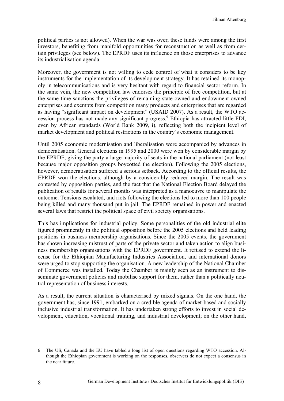political parties is not allowed). When the war was over, these funds were among the first investors, benefiting from manifold opportunities for reconstruction as well as from certain privileges (see below). The EPRDF uses its influence on those enterprises to advance its industrialisation agenda.

Moreover, the government is not willing to cede control of what it considers to be key instruments for the implementation of its development strategy. It has retained its monopoly in telecommunications and is very hesitant with regard to financial sector reform. In the same vein, the new competition law endorses the principle of free competition, but at the same time sanctions the privileges of remaining state-owned and endowment-owned enterprises and exempts from competition many products and enterprises that are regarded as having "significant impact on development" (USAID 2007). As a result, the WTO accession process has not made any significant progress.<sup>6</sup> Ethiopia has attracted little FDI, even by African standards (World Bank 2009, i), reflecting both the incipient level of market development and political restrictions in the country's economic management.

Until 2005 economic modernisation and liberalisation were accompanied by advances in democratisation. General elections in 1995 and 2000 were won by considerable margin by the EPRDF, giving the party a large majority of seats in the national parliament (not least because major opposition groups boycotted the election). Following the 2005 elections, however, democratisation suffered a serious setback. According to the official results, the EPRDF won the elections, although by a considerably reduced margin. The result was contested by opposition parties, and the fact that the National Election Board delayed the publication of results for several months was interpreted as a manoeuvre to manipulate the outcome. Tensions escalated, and riots following the elections led to more than 100 people being killed and many thousand put in jail. The EPRDF remained in power and enacted several laws that restrict the political space of civil society organisations.

This has implications for industrial policy. Some personalities of the old industrial elite figured prominently in the political opposition before the 2005 elections and held leading positions in business membership organisations. Since the 2005 events, the government has shown increasing mistrust of parts of the private sector and taken action to align business membership organisations with the EPRDF government. It refused to extend the license for the Ethiopian Manufacturing Industries Association, and international donors were urged to stop supporting the organisation. A new leadership of the National Chamber of Commerce was installed. Today the Chamber is mainly seen as an instrument to disseminate government policies and mobilise support for them, rather than a politically neutral representation of business interests.

As a result, the current situation is characterised by mixed signals. On the one hand, the government has, since 1991, embarked on a credible agenda of market-based and socially inclusive industrial transformation. It has undertaken strong efforts to invest in social development, education, vocational training, and industrial development; on the other hand,

<sup>6</sup> The US, Canada and the EU have tabled a long list of open questions regarding WTO accession. Although the Ethiopian government is working on the responses, observers do not expect a consensus in the near future.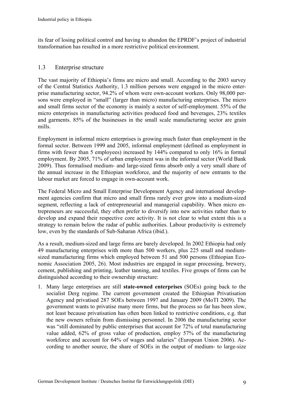its fear of losing political control and having to abandon the EPRDF's project of industrial transformation has resulted in a more restrictive political environment.

#### 1.3 Enterprise structure

The vast majority of Ethiopia's firms are micro and small. According to the 2003 survey of the Central Statistics Authority, 1.3 million persons were engaged in the micro enterprise manufacturing sector, 94.2% of whom were own-account workers. Only 98,000 persons were employed in "small" (larger than micro) manufacturing enterprises. The micro and small firms sector of the economy is mainly a sector of self-employment. 55% of the micro enterprises in manufacturing activities produced food and beverages, 23% textiles and garments. 85% of the businesses in the small scale manufacturing sector are grain mills.

Employment in informal micro enterprises is growing much faster than employment in the formal sector. Between 1999 and 2005, informal employment (defined as employment in firms with fewer than 5 employees) increased by 144% compared to only 16% in formal employment. By 2005, 71% of urban employment was in the informal sector (World Bank 2009). Thus formalised medium- and large-sized firms absorb only a very small share of the annual increase in the Ethiopian workforce, and the majority of new entrants to the labour market are forced to engage in own-account work.

The Federal Micro and Small Enterprise Development Agency and international development agencies confirm that micro and small firms rarely ever grow into a medium-sized segment, reflecting a lack of entrepreneurial and managerial capability. When micro entrepreneurs are successful, they often prefer to diversify into new activities rather than to develop and expand their respective core activity. It is not clear to what extent this is a strategy to remain below the radar of public authorities. Labour productivity is extremely low, even by the standards of Sub-Saharan Africa (ibid.).

As a result, medium-sized and large firms are barely developed. In 2002 Ethiopia had only 49 manufacturing enterprises with more than 500 workers, plus 225 small and mediumsized manufacturing firms which employed between 51 and 500 persons (Ethiopian Economic Association 2005, 26). Most industries are engaged in sugar processing, brewery, cement, publishing and printing, leather tanning, and textiles. Five groups of firms can be distinguished according to their ownership structure:

1. Many large enterprises are still **state-owned enterprises** (SOEs) going back to the socialist Derg regime. The current government created the Ethiopian Privatisation Agency and privatised 287 SOEs between 1997 and January 2009 (MoTI 2009). The government wants to privatise many more firms, but the process so far has been slow, not least because privatisation has often been linked to restrictive conditions, e.g. that the new owners refrain from dismissing personnel. In 2006 the manufacturing sector was "still dominated by public enterprises that account for 72% of total manufacturing value added, 62% of gross value of production, employ 57% of the manufacturing workforce and account for 64% of wages and salaries" (European Union 2006). According to another source, the share of SOEs in the output of medium- to large-size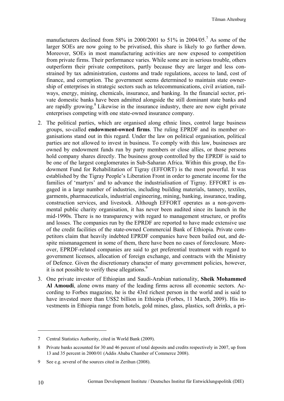manufacturers declined from 58% in 2000/2001 to 51% in 2004/05.<sup>7</sup> As some of the larger SOEs are now going to be privatised, this share is likely to go further down. Moreover, SOEs in most manufacturing activities are now exposed to competition from private firms. Their performance varies. While some are in serious trouble, others outperform their private competitors, partly because they are larger and less constrained by tax administration, customs and trade regulations, access to land, cost of finance, and corruption. The government seems determined to maintain state ownership of enterprises in strategic sectors such as telecommunications, civil aviation, railways, energy, mining, chemicals, insurance, and banking. In the financial sector, private domestic banks have been admitted alongside the still dominant state banks and are rapidly growing. $8$  Likewise in the insurance industry, there are now eight private enterprises competing with one state-owned insurance company.

- 2. The political parties, which are organised along ethnic lines, control large business groups, so-called **endowment-owned firms**. The ruling EPRDF and its member organisations stand out in this regard. Under the law on political organisation, political parties are not allowed to invest in business. To comply with this law, businesses are owned by endowment funds run by party members or close allies, or those persons hold company shares directly. The business group controlled by the EPRDF is said to be one of the largest conglomerates in Sub-Saharan Africa. Within this group, the Endowment Fund for Rehabilitation of Tigray (EFFORT) is the most powerful. It was established by the Tigray People's Liberation Front in order to generate income for the families of 'martyrs' and to advance the industrialisation of Tigray. EFFORT is engaged in a large number of industries, including building materials, tannery, textiles, garments, pharmaceuticals, industrial engineering, mining, banking, insurance, trading, construction services, and livestock. Although EFFORT operates as a non-governmental public charity organisation, it has never been audited since its launch in the mid-1990s. There is no transparency with regard to management structure, or profits and losses. The companies run by the EPRDF are reported to have made extensive use of the credit facilities of the state-owned Commercial Bank of Ethiopia. Private competitors claim that heavily indebted EPRDF companies have been bailed out, and despite mismanagement in some of them, there have been no cases of foreclosure. Moreover, EPRDF-related companies are said to get preferential treatment with regard to government licenses, allocation of foreign exchange, and contracts with the Ministry of Defence. Given the discretionary character of many government policies, however, it is not possible to verify these allegations.<sup>9</sup>
- 3. One private investor of Ethiopian and Saudi-Arabian nationality, **Sheik Mohammed Al Amoudi**, alone owns many of the leading firms across all economic sectors. According to Forbes magazine, he is the 43rd richest person in the world and is said to have invested more than US\$2 billion in Ethiopia (Forbes, 11 March, 2009). His investments in Ethiopia range from hotels, gold mines, glass, plastics, soft drinks, a pri-

<sup>7</sup> Central Statistics Authority, cited in World Bank (2009).

<sup>8</sup> Private banks accounted for 30 and 46 percent of total deposits and credits respectively in 2007, up from 13 and 35 percent in 2000/01 (Addis Ababa Chamber of Commerce 2008).

<sup>9</sup> See e.g. several of the sources cited in Zerihun (2008).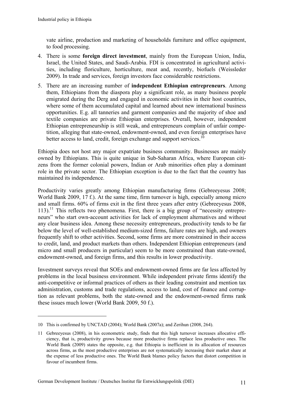$\overline{a}$ 

vate airline, production and marketing of households furniture and office equipment, to food processing.

- 4. There is some **foreign direct investment**, mainly from the European Union, India, Israel, the United States, and Saudi-Arabia. FDI is concentrated in agricultural activities, including floriculture, horticulture, meat and, recently, biofuels (Weissleder 2009). In trade and services, foreign investors face considerable restrictions.
- 5. There are an increasing number of **independent Ethiopian entrepreneurs**. Among them, Ethiopians from the diaspora play a significant role, as many business people emigrated during the Derg and engaged in economic activities in their host countries, where some of them accumulated capital and learned about new international business opportunities. E.g. all tanneries and garment companies and the majority of shoe and textile companies are private Ethiopian enterprises. Overall, however, independent Ethiopian entrepreneurship is still weak, and entrepreneurs complain of unfair competition, alleging that state-owned, endowment-owned, and even foreign enterprises have better access to land, credit, foreign exchange and support services.<sup>10</sup>

Ethiopia does not host any major expatriate business community. Businesses are mainly owned by Ethiopians. This is quite unique in Sub-Saharan Africa, where European citizens from the former colonial powers, Indian or Arab minorities often play a dominant role in the private sector. The Ethiopian exception is due to the fact that the country has maintained its independence.

Productivity varies greatly among Ethiopian manufacturing firms (Gebreeyesus 2008; World Bank 2009, 17 f.). At the same time, firm turnover is high, especially among micro and small firms. 60% of firms exit in the first three years after entry (Gebreeyesus 2008,  $113$ ).<sup>11</sup> This reflects two phenomena. First, there is a big group of "necessity entrepreneurs" who start own-account activities for lack of employment alternatives and without any clear business idea. Among these necessity entrepreneurs, productivity tends to be far below the level of well-established medium-sized firms, failure rates are high, and owners frequently shift to other activities. Second, some firms are more constrained in their access to credit, land, and product markets than others. Independent Ethiopian entrepreneurs (and micro and small producers in particular) seem to be more constrained than state-owned, endowment-owned, and foreign firms, and this results in lower productivity.

Investment surveys reveal that SOEs and endowment-owned firms are far less affected by problems in the local business environment. While independent private firms identify the anti-competitive or informal practices of others as their leading constraint and mention tax administration, customs and trade regulations, access to land, cost of finance and corruption as relevant problems, both the state-owned and the endowment-owned firms rank these issues much lower (World Bank 2009, 50 f.).

<sup>10</sup> This is confirmed by UNCTAD (2004); World Bank (2007a); and Zerihun (2008, 264).

<sup>11</sup> Gebreeyesus (2008), in his econometric study, finds that this high turnover increases allocative efficiency, that is, productivity grows because more productive firms replace less productive ones. The World Bank (2009) states the opposite, e.g. that Ethiopia is inefficient in its allocation of resources across firms, as the most productive enterprises are not systematically increasing their market share at the expense of less productive ones. The World Bank blames policy factors that distort competition in favour of incumbent firms.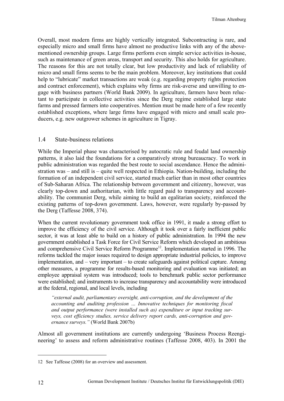Overall, most modern firms are highly vertically integrated. Subcontracting is rare, and especially micro and small firms have almost no productive links with any of the abovementioned ownership groups. Large firms perform even simple service activities in-house, such as maintenance of green areas, transport and security. This also holds for agriculture. The reasons for this are not totally clear, but low productivity and lack of reliability of micro and small firms seems to be the main problem. Moreover, key institutions that could help to "lubricate" market transactions are weak (e.g. regarding property rights protection and contract enforcement), which explains why firms are risk-averse and unwilling to engage with business partners (World Bank 2009). In agriculture, farmers have been reluctant to participate in collective activities since the Derg regime established large state farms and pressed farmers into cooperatives. Mention must be made here of a few recently established exceptions, where large firms have engaged with micro and small scale producers, e.g. new outgrower schemes in agriculture in Tigray.

#### 1.4 State-business relations

While the Imperial phase was characterised by autocratic rule and feudal land ownership patterns, it also laid the foundations for a comparatively strong bureaucracy. To work in public administration was regarded the best route to social ascendance. Hence the administration was – and still is – quite well respected in Ethiopia. Nation-building, including the formation of an independent civil service, started much earlier than in most other countries of Sub-Saharan Africa. The relationship between government and citizenry, however, was clearly top-down and authoritarian, with little regard paid to transparency and accountability. The communist Derg, while aiming to build an egalitarian society, reinforced the existing patterns of top-down government. Laws, however, were regularly by-passed by the Derg (Taffesse 2008, 374).

When the current revolutionary government took office in 1991, it made a strong effort to improve the efficiency of the civil service. Although it took over a fairly inefficient public sector, it was at least able to build on a history of public administration. In 1994 the new government established a Task Force for Civil Service Reform which developed an ambitious and comprehensive Civil Service Reform Programme<sup>12</sup>. Implementation started in 1996. The reforms tackled the major issues required to design appropriate industrial policies, to improve implementation, and – very important – to create safeguards against political capture. Among other measures, a programme for results-based monitoring and evaluation was initiated; an employee appraisal system was introduced; tools to benchmark public sector performance were established; and instruments to increase transparency and accountability were introduced at the federal, regional, and local levels, including

*"external audit, parliamentary oversight, anti-corruption, and the development of the accounting and auditing profession … Innovative techniques for monitoring fiscal and output performance (were installed such as) expenditure or input tracking surveys, cost efficiency studies, service delivery report cards, anti-corruption and governance surveys."* (World Bank 2007b)

Almost all government institutions are currently undergoing 'Business Process Reengineering' to assess and reform administrative routines (Taffesse 2008, 403). In 2001 the

<sup>12</sup> See Taffesse (2008) for an overview and assessment.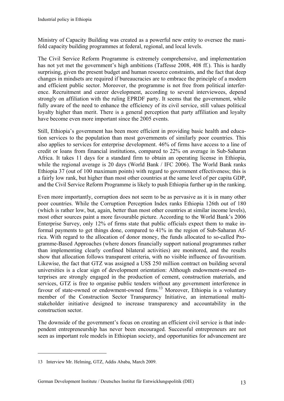Ministry of Capacity Building was created as a powerful new entity to oversee the manifold capacity building programmes at federal, regional, and local levels.

The Civil Service Reform Programme is extremely comprehensive, and implementation has not yet met the government's high ambitions (Taffesse 2008, 408 ff.). This is hardly surprising, given the present budget and human resource constraints, and the fact that deep changes in mindsets are required if bureaucracies are to embrace the principle of a modern and efficient public sector. Moreover, the programme is not free from political interference. Recruitment and career development, according to several interviewees, depend strongly on affiliation with the ruling EPRDF party. It seems that the government, while fully aware of the need to enhance the efficiency of its civil service, still values political loyalty higher than merit. There is a general perception that party affiliation and loyalty have become even more important since the 2005 events.

Still, Ethiopia's government has been more efficient in providing basic health and education services to the population than most governments of similarly poor countries. This also applies to services for enterprise development. 46% of firms have access to a line of credit or loans from financial institutions, compared to 22% on average in Sub-Saharan Africa. It takes 11 days for a standard firm to obtain an operating license in Ethiopia, while the regional average is 20 days (World Bank / IFC 2006). The World Bank ranks Ethiopia 37 (out of 100 maximum points) with regard to government effectiveness; this is a fairly low rank, but higher than most other countries at the same level of per capita GDP, and the Civil Service Reform Programme is likely to push Ethiopia further up in the ranking.

Even more importantly, corruption does not seem to be as pervasive as it is in many other poor countries. While the Corruption Perception Index ranks Ethiopia 126th out of 180 (which is rather low, but, again, better than most other countries at similar income levels), most other sources paint a more favourable picture. According to the World Bank's 2006 Enterprise Survey, only 12% of firms state that public officials expect them to make informal payments to get things done, compared to 41% in the region of Sub-Saharan Africa. With regard to the allocation of donor money, the funds allocated to so-called Programme-Based Approaches (where donors financially support national programmes rather than implementing clearly confined bilateral activities) are monitored, and the results show that allocation follows transparent criteria, with no visible influence of favouritism. Likewise, the fact that GTZ was assigned a US\$ 250 million contract on building several universities is a clear sign of development orientation: Although endowment-owned enterprises are strongly engaged in the production of cement, construction materials, and services, GTZ is free to organise public tenders without any government interference in favour of state-owned or endowment-owned firms.<sup>13</sup> Moreover, Ethiopia is a voluntary member of the Construction Sector Transparency Initiative, an international multistakeholder initiative designed to increase transparency and accountability in the construction sector.

The downside of the government's focus on creating an efficient civil service is that independent entrepreneurship has never been encouraged. Successful entrepreneurs are not seen as important role models in Ethiopian society, and opportunities for advancement are

<sup>13</sup> Interview Mr. Helming, GTZ, Addis Ababa, March 2009.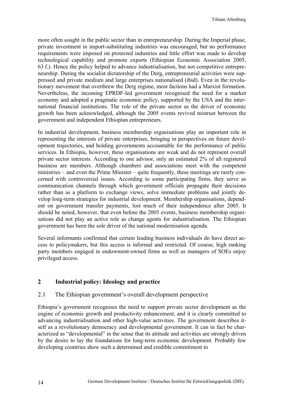more often sought in the public sector than in entrepreneurship. During the Imperial phase, private investment in import-substituting industries was encouraged, but no performance requirements were imposed on protected industries and little effort was made to develop technological capability and promote exports (Ethiopian Economic Association 2005, 63 f.). Hence the policy helped to advance industrialisation, but not competitive entrepreneurship. During the socialist dictatorship of the Derg, entrepreneurial activities were suppressed and private medium and large enterprises nationalised (ibid). Even in the revolutionary movement that overthrew the Derg regime, most factions had a Marxist formation. Nevertheless, the incoming EPRDF-led government recognised the need for a market economy and adopted a pragmatic economic policy, supported by the USA and the international financial institutions. The role of the private sector as the driver of economic growth has been acknowledged, although the 2005 events revived mistrust between the government and independent Ethiopian entrepreneurs.

In industrial development, business membership organisations play an important role in representing the interests of private enterprises, bringing in perspectives on future development trajectories, and holding governments accountable for the performance of public services. In Ethiopia, however, these organisations are weak and do not represent overall private sector interests. According to one advisor, only an estimated 2% of all registered business are members. Although chambers and associations meet with the competent ministries – and even the Prime Minister – quite frequently, these meetings are rarely concerned with controversial issues. According to some participating firms, they serve as communication channels through which government officials propagate their decisions rather than as a platform to exchange views, solve immediate problems and jointly develop long-term strategies for industrial development. Membership organisations, dependent on government transfer payments, lost much of their independence after 2005. It should be noted, however, that even before the 2005 events, business membership organisations did not play an active role as change agents for industrialisation. The Ethiopian government has been the sole driver of the national modernisation agenda.

Several informants confirmed that certain leading business individuals do have direct access to policymakers, but this access is informal and restricted. Of course, high ranking party members engaged in endowment-owned firms as well as managers of SOEs enjoy privileged access.

## **2 Industrial policy: Ideology and practice**

#### 2.1 The Ethiopian government's overall development perspective

Ethiopia's government recognises the need to support private sector development as the engine of economic growth and productivity enhancement, and it is clearly committed to advancing industrialisation and other high-value activities. The government describes itself as a revolutionary democracy and developmental government. It can in fact be characterized as "developmental" in the sense that its attitude and activities are strongly driven by the desire to lay the foundations for long-term economic development. Probably few developing countries show such a determined and credible commitment to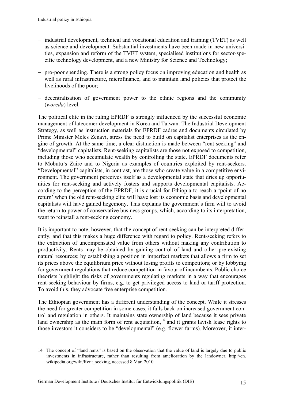- − industrial development, technical and vocational education and training (TVET) as well as science and development. Substantial investments have been made in new universities, expansion and reform of the TVET system, specialised institutions for sector-specific technology development, and a new Ministry for Science and Technology;
- − pro-poor spending. There is a strong policy focus on improving education and health as well as rural infrastructure, microfinance, and to maintain land policies that protect the livelihoods of the poor;
- − decentralisation of government power to the ethnic regions and the community (*woreda*) level.

The political elite in the ruling EPRDF is strongly influenced by the successful economic management of latecomer development in Korea and Taiwan. The Industrial Development Strategy, as well as instruction materials for EPRDF cadres and documents circulated by Prime Minister Meles Zenavi, stress the need to build on capitalist enterprises as the engine of growth. At the same time, a clear distinction is made between "rent-seeking" and "developmental" capitalists. Rent-seeking capitalists are those not exposed to competition, including those who accumulate wealth by controlling the state. EPRDF documents refer to Mobutu's Zaire and to Nigeria as examples of countries exploited by rent-seekers. "Developmental" capitalists, in contrast, are those who create value in a competitive environment. The government perceives itself as a developmental state that dries up opportunities for rent-seeking and actively fosters and supports developmental capitalists. According to the perception of the EPRDF, it is crucial for Ethiopia to reach a 'point of no return' when the old rent-seeking elite will have lost its economic basis and developmental capitalists will have gained hegemony. This explains the government's firm will to avoid the return to power of conservative business groups, which, according to its interpretation, want to reinstall a rent-seeking economy.

It is important to note, however, that the concept of rent-seeking can be interpreted differently, and that this makes a huge difference with regard to policy. Rent-seeking refers to the extraction of uncompensated value from others without making any contribution to productivity. Rents may be obtained by gaining control of land and other pre-existing natural resources; by establishing a position in imperfect markets that allows a firm to set its prices above the equilibrium price without losing profits to competitors; or by lobbying for government regulations that reduce competition in favour of incumbents. Public choice theorists highlight the risks of governments regulating markets in a way that encourages rent-seeking behaviour by firms, e.g. to get privileged access to land or tariff protection. To avoid this, they advocate free enterprise competition.

The Ethiopian government has a different understanding of the concept. While it stresses the need for greater competition in some cases, it falls back on increased government control and regulation in others. It maintains state ownership of land because it sees private land ownership as the main form of rent acquisition,<sup>14</sup> and it grants lavish lease rights to those investors it considers to be "developmental" (e.g. flower farms). Moreover, it inter-

<sup>14</sup> The concept of "land rents" is based on the observation that the value of land is largely due to public investments in infrastructure, rather than resulting from amelioration by the landowner. http://en. wikipedia.org/wiki/Rent\_seeking, accessed 8 Mar. 2010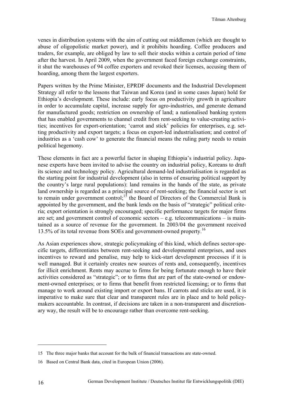venes in distribution systems with the aim of cutting out middlemen (which are thought to abuse of oligopolistic market power), and it prohibits hoarding. Coffee producers and traders, for example, are obliged by law to sell their stocks within a certain period of time after the harvest. In April 2009, when the government faced foreign exchange constraints, it shut the warehouses of 94 coffee exporters and revoked their licenses, accusing them of hoarding, among them the largest exporters.

Papers written by the Prime Minister, EPRDF documents and the Industrial Development Strategy all refer to the lessons that Taiwan and Korea (and in some cases Japan) hold for Ethiopia's development. These include: early focus on productivity growth in agriculture in order to accumulate capital, increase supply for agro-industries, and generate demand for manufactured goods; restriction on ownership of land; a nationalised banking system that has enabled governments to channel credit from rent-seeking to value-creating activities; incentives for export-orientation; 'carrot and stick' policies for enterprises, e.g. setting productivity and export targets; a focus on export-led industrialisation; and control of industries as a 'cash cow' to generate the financial means the ruling party needs to retain political hegemony.

These elements in fact are a powerful factor in shaping Ethiopia's industrial policy. Japanese experts have been invited to advise the country on industrial policy, Koreans to draft its science and technology policy. Agricultural demand-led industrialisation is regarded as the starting point for industrial development (also in terms of ensuring political support by the country's large rural populations): land remains in the hands of the state, as private land ownership is regarded as a principal source of rent-seeking; the financial sector is set to remain under government control;<sup>15</sup> the Board of Directors of the Commercial Bank is appointed by the government, and the bank lends on the basis of "strategic" political criteria; export orientation is strongly encouraged; specific performance targets for major firms are set; and government control of economic sectors – e.g. telecommunications – is maintained as a source of revenue for the government. In 2003/04 the government received 13.5% of its total revenue from SOEs and government-owned property.<sup>16</sup>

As Asian experiences show, strategic policymaking of this kind, which defines sector-specific targets, differentiates between rent-seeking and developmental enterprises, and uses incentives to reward and penalise, may help to kick-start development processes if it is well managed. But it certainly creates new sources of rents and, consequently, incentives for illicit enrichment. Rents may accrue to firms for being fortunate enough to have their activities considered as "strategic"; or to firms that are part of the state-owned or endowment-owned enterprises; or to firms that benefit from restricted licensing; or to firms that manage to work around existing import or export bans. If carrots and sticks are used, it is imperative to make sure that clear and transparent rules are in place and to hold policymakers accountable. In contrast, if decisions are taken in a non-transparent and discretionary way, the result will be to encourage rather than overcome rent-seeking.

<sup>15</sup> The three major banks that account for the bulk of financial transactions are state-owned.

<sup>16</sup> Based on Central Bank data, cited in European Union (2006).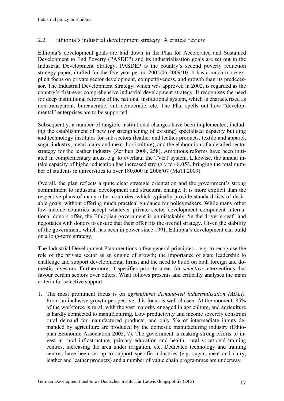## 2.2 Ethiopia's industrial development strategy: A critical review

Ethiopia's development goals are laid down in the Plan for Accelerated and Sustained Development to End Poverty (PASDEP) and its industrialisation goals are set out in the Industrial Development Strategy. PASDEP is the country's second poverty reduction strategy paper, drafted for the five-year period 2005/06-2009/10. It has a much more explicit focus on private sector development, competitiveness, and growth than its predecessor. The Industrial Development Strategy, which was approved in 2002, is regarded as the country's first-ever comprehensive industrial development strategy. It recognises the need for deep institutional reforms of the national institutional system, which is characterised as non-transparent, bureaucratic, anti-democratic, etc. The Plan spells out how "developmental" enterprises are to be supported.

Subsequently, a number of tangible institutional changes have been implemented, including the establishment of new (or strengthening of existing) specialised capacity building and technology institutes for sub-sectors (leather and leather products, textile and apparel, sugar industry, metal, dairy and meat, horticulture), and the elaboration of a detailed sector strategy for the leather industry (Zerihun 2008, 258). Ambitious reforms have been initiated in complementary areas, e.g. to overhaul the TVET system. Likewise, the annual intake capacity of higher education has increased strongly to 48,053, bringing the total number of students in universities to over 180,000 in 2006/07 (MoTI 2009).

Overall, the plan reflects a quite clear strategic orientation and the government's strong commitment to industrial development and structural change. It is more explicit than the respective plans of many other countries, which typically provide standard lists of desirable goals, without offering much practical guidance for policymakers. While many other low-income countries accept whatever private sector development component international donors offer, the Ethiopian government is unmistakably "in the driver's seat" and negotiates with donors to ensure that their offer fits the overall strategy. Given the stability of the government, which has been in power since 1991, Ethiopia's development can build on a long-term strategy.

The Industrial Development Plan mentions a few general principles  $-e.g.$  to recognise the role of the private sector as an engine of growth; the importance of state leadership to challenge and support developmental firms; and the need to build on both foreign and domestic investors. Furthermore, it specifies priority areas for *selective* interventions that favour certain sectors over others. What follows presents and critically analyses the main criteria for selective support.

1. The most prominent focus is on *agricultural demand-led industrialisation (ADLI).* From an inclusive growth perspective, this focus is well chosen. At the moment, 85% of the workforce is rural, with the vast majority engaged in agriculture, and agriculture is hardly connected to manufacturing. Low productivity and income severely constrain rural demand for manufactured products, and only 5% of intermediate inputs demanded by agriculture are produced by the domestic manufacturing industry (Ethiopian Economic Association 2005, 7). The government is making strong efforts to invest in rural infrastructure, primary education and health, rural vocational training centres, increasing the area under irrigation, etc. Dedicated technology and training centres have been set up to support specific industries (e.g. sugar, meat and dairy, leather and leather products) and a number of value chain programmes are underway.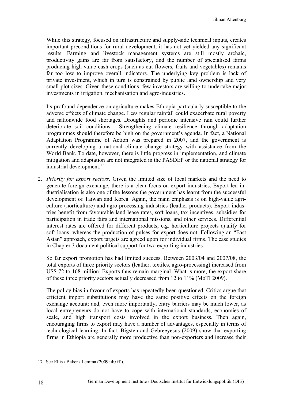While this strategy, focused on infrastructure and supply-side technical inputs, creates important preconditions for rural development, it has not yet yielded any significant results. Farming and livestock management systems are still mostly archaic, productivity gains are far from satisfactory, and the number of specialised farms producing high-value cash crops (such as cut flowers, fruits and vegetables) remains far too low to improve overall indicators. The underlying key problem is lack of private investment, which in turn is constrained by public land ownership and very small plot sizes. Given these conditions, few investors are willing to undertake major investments in irrigation, mechanisation and agro-industries.

Its profound dependence on agriculture makes Ethiopia particularly susceptible to the adverse effects of climate change. Less regular rainfall could exacerbate rural poverty and nationwide food shortages. Droughts and periodic intensive rain could further deteriorate soil conditions. Strengthening climate resilience through adaptation programmes should therefore be high on the government's agenda. In fact, a National Adaptation Programme of Action was prepared in 2007, and the government is currently developing a national climate change strategy with assistance from the World Bank. To date, however, there is little progress in implementation, and climate mitigation and adaptation are not integrated in the PASDEP or the national strategy for industrial development.<sup>17</sup>

2. *Priority for export sectors*. Given the limited size of local markets and the need to generate foreign exchange, there is a clear focus on export industries. Export-led industrialisation is also one of the lessons the government has learnt from the successful development of Taiwan and Korea. Again, the main emphasis is on high-value agriculture (horticulture) and agro-processing industries (leather products). Export industries benefit from favourable land lease rates, soft loans, tax incentives, subsidies for participation in trade fairs and international missions, and other services. Differential interest rates are offered for different products, e.g. horticulture projects qualify for soft loans, whereas the production of pulses for export does not. Following an "East Asian" approach, export targets are agreed upon for individual firms. The case studies in Chapter 3 document political support for two exporting industries.

So far export promotion has had limited success. Between 2003/04 and 2007/08, the total exports of three priority sectors (leather, textiles, agro-processing) increased from US\$ 72 to 168 million. Exports thus remain marginal. What is more, the export share of these three priority sectors actually decreased from 12 to 11% (MoTI 2009).

The policy bias in favour of exports has repeatedly been questioned. Critics argue that efficient import substitutions may have the same positive effects on the foreign exchange account; and, even more importantly, entry barriers may be much lower, as local entrepreneurs do not have to cope with international standards, economies of scale, and high transport costs involved in the export business. Then again, encouraging firms to export may have a number of advantages, especially in terms of technological learning. In fact, Bigsten and Gebreeyesus (2009) show that exporting firms in Ethiopia are generally more productive than non-exporters and increase their

<sup>17</sup> See Ellis / Baker / Lemma (2009: 40 ff.).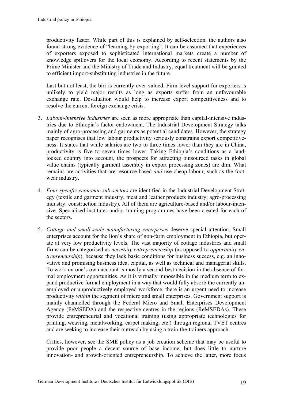productivity faster. While part of this is explained by self-selection, the authors also found strong evidence of "learning-by-exporting". It can be assumed that experiences of exporters exposed to sophisticated international markets create a number of knowledge spillovers for the local economy. According to recent statements by the Prime Minister and the Ministry of Trade and Industry, equal treatment will be granted to efficient import-substituting industries in the future.

Last but not least, the birr is currently over-valued. Firm-level support for exporters is unlikely to yield major results as long as exports suffer from an unfavourable exchange rate. Devaluation would help to increase export competitiveness and to resolve the current foreign exchange crisis.

- 3. *Labour-intensive industries* are seen as more appropriate than capital-intensive industries due to Ethiopia's factor endowment. The Industrial Development Strategy talks mainly of agro-processing and garments as potential candidates. However, the strategy paper recognises that low labour productivity seriously constrains export competitiveness. It states that while salaries are two to three times lower than they are in China, productivity is five to seven times lower. Taking Ethiopia's conditions as a landlocked country into account, the prospects for attracting outsourced tasks in global value chains (typically garment assembly in export processing zones) are dim. What remains are activities that are resource-based *and* use cheap labour, such as the footwear industry.
- 4. *Four specific economic sub-sectors* are identified in the Industrial Development Strategy (textile and garment industry; meat and leather products industry; agro-processing industry; construction industry). All of them are agriculture-based and/or labour-intensive. Specialised institutes and/or training programmes have been created for each of the sectors.
- 5. *Cottage and small-scale manufacturing enterprises* deserve special attention. Small enterprises account for the lion's share of non-farm employment in Ethiopia, but operate at very low productivity levels. The vast majority of cottage industries and small firms can be categorised as *necessity entrepreneurship* (as opposed to *opportunity entrepreneurship*), because they lack basic conditions for business success, e.g. an innovative and promising business idea, capital, as well as technical and managerial skills. To work on one's own account is mostly a second-best decision in the absence of formal employment opportunities. As it is virtually impossible in the medium term to expand productive formal employment in a way that would fully absorb the currently unemployed or unproductively employed workforce, there is an urgent need to increase productivity *within* the segment of micro and small enterprises. Government support is mainly channelled through the Federal Micro and Small Enterprises Development Agency (FeMSEDA) and the respective centres in the regions (ReMSEDAs). These provide entrepreneurial and vocational training (using appropriate technologies for printing, weaving, metalworking, carpet making, etc.) through regional TVET centres and are seeking to increase their outreach by using a train-the-trainers approach.

Critics, however, see the SME policy as a job creation scheme that may be useful to provide poor people a decent source of base income, but does little to nurture innovation- and growth-oriented entrepreneurship. To achieve the latter, more focus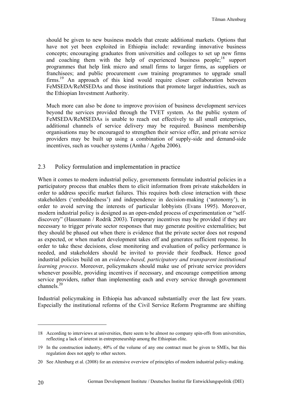should be given to new business models that create additional markets. Options that have not yet been exploited in Ethiopia include: rewarding innovative business concepts; encouraging graduates from universities and colleges to set up new firms and coaching them with the help of experienced business people;<sup>18</sup> support programmes that help link micro and small firms to larger firms, as suppliers or franchisees; and public procurement *cum* training programmes to upgrade small  $firms.<sup>19</sup>$  An approach of this kind would require closer collaboration between FeMSEDA/ReMSEDAs and those institutions that promote larger industries, such as the Ethiopian Investment Authority.

Much more can also be done to improve provision of business development services beyond the services provided through the TVET system. As the public system of FeMSEDA/ReMSEDAs is unable to reach out effectively to all small enterprises, additional channels of service delivery may be required. Business membership organisations may be encouraged to strengthen their service offer, and private service providers may be built up using a combination of supply-side and demand-side incentives, such as voucher systems (Amha / Ageba 2006).

#### 2.3 Policy formulation and implementation in practice

When it comes to modern industrial policy, governments formulate industrial policies in a participatory process that enables them to elicit information from private stakeholders in order to address specific market failures. This requires both close interaction with these stakeholders ('embeddedness') and independence in decision-making ('autonomy'), in order to avoid serving the interests of particular lobbyists (Evans 1995). Moreover, modern industrial policy is designed as an open-ended process of experimentation or "selfdiscovery" (Hausmann / Rodrik 2003). Temporary incentives may be provided if they are necessary to trigger private sector responses that may generate positive externalities; but they should be phased out when there is evidence that the private sector does not respond as expected, or when market development takes off and generates sufficient response. In order to take these decisions, close monitoring and evaluation of policy performance is needed, and stakeholders should be invited to provide their feedback. Hence good industrial policies build on an *evidence-based, participatory and transparent institutional learning process*. Moreover, policymakers should make use of private service providers whenever possible, providing incentives if necessary, and encourage competition among service providers, rather than implementing each and every service through government channels $^{20}$ 

Industrial policymaking in Ethiopia has advanced substantially over the last few years. Especially the institutional reforms of the Civil Service Reform Programme are shifting

<sup>18</sup> According to interviews at universities, there seem to be almost no company spin-offs from universities, reflecting a lack of interest in entrepreneurship among the Ethiopian elite.

<sup>19</sup> In the construction industry, 40% of the volume of any one contract must be given to SMEs, but this regulation does not apply to other sectors.

<sup>20</sup> See Altenburg et al. (2008) for an extensive overview of principles of modern industrial policy-making.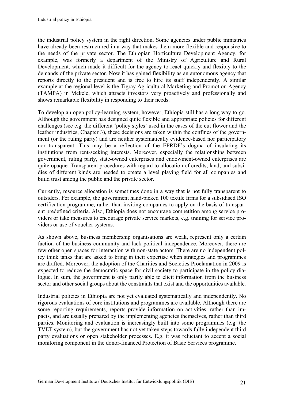the industrial policy system in the right direction. Some agencies under public ministries have already been restructured in a way that makes them more flexible and responsive to the needs of the private sector. The Ethiopian Horticulture Development Agency, for example, was formerly a department of the Ministry of Agriculture and Rural Development, which made it difficult for the agency to react quickly and flexibly to the demands of the private sector. Now it has gained flexibility as an autonomous agency that reports directly to the president and is free to hire its staff independently. A similar example at the regional level is the Tigray Agricultural Marketing and Promotion Agency (TAMPA) in Mekele, which attracts investors very proactively and professionally and shows remarkable flexibility in responding to their needs.

To develop an open policy-learning system, however, Ethiopia still has a long way to go. Although the government has designed quite flexible and appropriate policies for different challenges (see e.g. the different 'policy styles' used in the cases of the cut flower and the leather industries, Chapter 3), these decisions are taken within the confines of the government (or the ruling party) and are neither systematically evidence-based nor participatory nor transparent. This may be a reflection of the EPRDF's dogma of insulating its institutions from rent-seeking interests. Moreover, especially the relationships between government, ruling party, state-owned enterprises and endowment-owned enterprises are quite opaque. Transparent procedures with regard to allocation of credits, land, and subsidies of different kinds are needed to create a level playing field for all companies and build trust among the public and the private sector.

Currently, resource allocation is sometimes done in a way that is not fully transparent to outsiders. For example, the government hand-picked 100 textile firms for a subsidised ISO certification programme, rather than inviting companies to apply on the basis of transparent predefined criteria. Also, Ethiopia does not encourage competition among service providers or take measures to encourage private service markets, e.g. training for service providers or use of voucher systems.

As shown above, business membership organisations are weak, represent only a certain faction of the business community and lack political independence. Moreover, there are few other open spaces for interaction with non-state actors. There are no independent policy think tanks that are asked to bring in their expertise when strategies and programmes are drafted. Moreover, the adoption of the Charities and Societies Proclamation in 2009 is expected to reduce the democratic space for civil society to participate in the policy dialogue. In sum, the government is only partly able to elicit information from the business sector and other social groups about the constraints that exist and the opportunities available.

Industrial policies in Ethiopia are not yet evaluated systematically and independently. No rigorous evaluations of core institutions and programmes are available. Although there are some reporting requirements, reports provide information on activities, rather than impacts, and are usually prepared by the implementing agencies themselves, rather than third parties. Monitoring and evaluation is increasingly built into some programmes (e.g. the TVET system), but the government has not yet taken steps towards fully independent third party evaluations or open stakeholder processes. E.g. it was reluctant to accept a social monitoring component in the donor-financed Protection of Basic Services programme.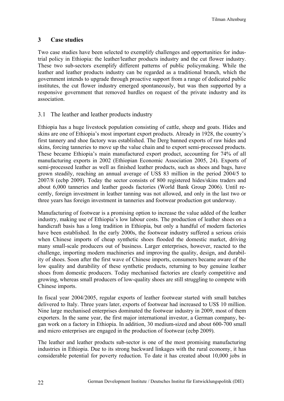#### **3 Case studies**

Two case studies have been selected to exemplify challenges and opportunities for industrial policy in Ethiopia: the leather/leather products industry and the cut flower industry. These two sub-sectors exemplify different patterns of public policymaking. While the leather and leather products industry can be regarded as a traditional branch, which the government intends to upgrade through proactive support from a range of dedicated public institutes, the cut flower industry emerged spontaneously, but was then supported by a responsive government that removed hurdles on request of the private industry and its association.

#### 3.1 The leather and leather products industry

Ethiopia has a huge livestock population consisting of cattle, sheep and goats. Hides and skins are one of Ethiopia's most important export products. Already in 1928, the country's first tannery and shoe factory was established. The Derg banned exports of raw hides and skins, forcing tanneries to move up the value chain and to export semi-processed products. These became Ethiopia's main manufactured export product, accounting for 74% of all manufacturing exports in 2002 (Ethiopian Economic Association 2005, 24). Exports of semi-processed leather as well as finished leather products, such as shoes and bags, have grown steadily, reaching an annual average of US\$ 83 million in the period 2004/5 to 2007/8 (ecbp 2009). Today the sector consists of 800 registered hides/skins traders and about 6,000 tanneries and leather goods factories (World Bank Group 2006). Until recently, foreign investment in leather tanning was not allowed, and only in the last two or three years has foreign investment in tanneries and footwear production got underway.

Manufacturing of footwear is a promising option to increase the value added of the leather industry, making use of Ethiopia's low labour costs. The production of leather shoes on a handicraft basis has a long tradition in Ethiopia, but only a handful of modern factories have been established. In the early 2000s, the footwear industry suffered a serious crisis when Chinese imports of cheap synthetic shoes flooded the domestic market, driving many small-scale producers out of business. Larger enterprises, however, reacted to the challenge, importing modern machineries and improving the quality, design, and durability of shoes. Soon after the first wave of Chinese imports, consumers became aware of the low quality and durability of these synthetic products, returning to buy genuine leather shoes from domestic producers. Today mechanised factories are clearly competitive and growing, whereas small producers of low-quality shoes are still struggling to compete with Chinese imports.

In fiscal year 2004/2005, regular exports of leather footwear started with small batches delivered to Italy. Three years later, exports of footwear had increased to US\$ 10 million. Nine large mechanised enterprises dominated the footwear industry in 2009, most of them exporters. In the same year, the first major international investor, a German company, began work on a factory in Ethiopia. In addition, 30 medium-sized and about 600-700 small and micro enterprises are engaged in the production of footwear (ecbp 2009).

The leather and leather products sub-sector is one of the most promising manufacturing industries in Ethiopia. Due to its strong backward linkages with the rural economy, it has considerable potential for poverty reduction. To date it has created about 10,000 jobs in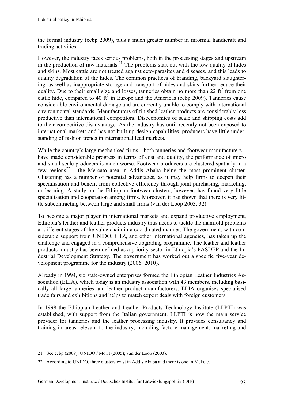the formal industry (ecbp 2009), plus a much greater number in informal handicraft and trading activities.

However, the industry faces serious problems, both in the processing stages and upstream in the production of raw materials.<sup>21</sup> The problems start out with the low quality of hides and skins. Most cattle are not treated against ecto-parasites and diseases, and this leads to quality degradation of the hides. The common practices of branding, backyard slaughtering, as well as inappropriate storage and transport of hides and skins further reduce their quality. Due to their small size and losses, tanneries obtain no more than 22  $\text{ft}^2$  from one cattle hide, compared to 40  $\text{ft}^2$  in Europe and the Americas (ecbp 2009). Tanneries cause considerable environmental damage and are currently unable to comply with international environmental standards. Manufacturers of finished leather products are considerably less productive than international competitors. Diseconomies of scale and shipping costs add to their competitive disadvantage. As the industry has until recently not been exposed to international markets and has not built up design capabilities, producers have little understanding of fashion trends in international lead markets.

While the country's large mechanised firms – both tanneries and footwear manufacturers – have made considerable progress in terms of cost and quality, the performance of micro and small-scale producers is much worse. Footwear producers are clustered spatially in a few regions<sup>22</sup> – the Mercato area in Addis Ababa being the most prominent cluster. Clustering has a number of potential advantages, as it may help firms to deepen their specialisation and benefit from collective efficiency through joint purchasing, marketing, or learning. A study on the Ethiopian footwear clusters, however, has found very little specialisation and cooperation among firms. Moreover, it has shown that there is very little subcontracting between large and small firms (van der Loop 2003, 32).

To become a major player in international markets and expand productive employment, Ethiopia's leather and leather products industry thus needs to tackle the manifold problems at different stages of the value chain in a coordinated manner. The government, with considerable support from UNIDO, GTZ, and other international agencies, has taken up the challenge and engaged in a comprehensive upgrading programme. The leather and leather products industry has been defined as a priority sector in Ethiopia's PASDEP and the Industrial Development Strategy. The government has worked out a specific five-year development programme for the industry (2006−2010).

Already in 1994, six state-owned enterprises formed the Ethiopian Leather Industries Association (ELIA), which today is an industry association with 43 members, including basically all large tanneries and leather product manufacturers. ELIA organises specialised trade fairs and exhibitions and helps to match export deals with foreign customers.

In 1998 the Ethiopian Leather and Leather Products Technology Institute (LLPTI) was established, with support from the Italian government. LLPTI is now the main service provider for tanneries and the leather processing industry. It provides consultancy and training in areas relevant to the industry, including factory management, marketing and

<sup>21</sup> See ecbp (2009); UNIDO / MoTI (2005); van der Loop (2003).

<sup>22</sup> According to UNIDO, three clusters exist in Addis Ababa and there is one in Mekele.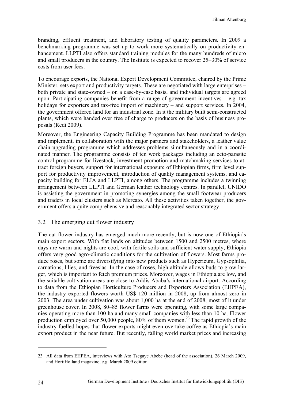branding, effluent treatment, and laboratory testing of quality parameters. In 2009 a benchmarking programme was set up to work more systematically on productivity enhancement. LLPTI also offers standard training modules for the many hundreds of micro and small producers in the country. The Institute is expected to recover 25−30% of service costs from user fees.

To encourage exports, the National Export Development Committee, chaired by the Prime Minister, sets export and productivity targets. These are negotiated with large enterprises – both private and state-owned – on a case-by-case basis, and individual targets are agreed upon. Participating companies benefit from a range of government incentives  $-$  e.g. tax holidays for exporters and tax-free import of machinery – and support services. In 2004, the government offered land for an industrial zone. In it the military built semi-constructed plants, which were handed over free of charge to producers on the basis of business proposals (Redi 2009).

Moreover, the Engineering Capacity Building Programme has been mandated to design and implement, in collaboration with the major partners and stakeholders, a leather value chain upgrading programme which addresses problems simultaneously and in a coordinated manner. The programme consists of ten work packages including an ecto-parasite control programme for livestock, investment promotion and matchmaking services to attract foreign buyers, support for international exposure of Ethiopian firms, firm level support for productivity improvement, introduction of quality management systems, and capacity building for ELIA and LLPTI, among others. The programme includes a twinning arrangement between LLPTI and German leather technology centres. In parallel, UNIDO is assisting the government in promoting synergies among the small footwear producers and traders in local clusters such as Mercato. All these activities taken together, the government offers a quite comprehensive and reasonably integrated sector strategy.

#### 3.2 The emerging cut flower industry

The cut flower industry has emerged much more recently, but is now one of Ethiopia's main export sectors. With flat lands on altitudes between 1500 and 2500 metres, where days are warm and nights are cool, with fertile soils and sufficient water supply, Ethiopia offers very good agro-climatic conditions for the cultivation of flowers. Most farms produce roses, but some are diversifying into new products such as Hypericum, Gypsophilia, carnations, lilies, and freesias. In the case of roses, high altitude allows buds to grow larger, which is important to fetch premium prices. Moreover, wages in Ethiopia are low, and the suitable cultivation areas are close to Addis Ababa's international airport. According to data from the Ethiopian Horticulture Producers and Exporters Association (EHPEA), the industry exported flowers worth US\$ 120 million in 2008, up from almost zero in 2003. The area under cultivation was about 1,000 ha at the end of 2008, most of it under greenhouse cover. In 2008, 80–85 flower farms were operating, with some large companies operating more than 100 ha and many small companies with less than 10 ha. Flower production employed over 50,000 people,  $80\%$  of them women.<sup>23</sup> The rapid growth of the industry fuelled hopes that flower exports might even overtake coffee as Ethiopia's main export product in the near future. But recently, falling world market prices and increasing

<sup>23</sup> All data from EHPEA, interviews with Ato Tsegaye Abebe (head of the association), 26 March 2009, and HortiHolland magazine, e.g. March 2009 edition.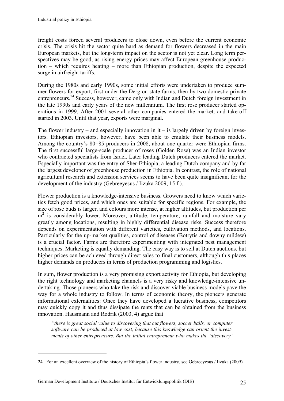freight costs forced several producers to close down, even before the current economic crisis. The crisis hit the sector quite hard as demand for flowers decreased in the main European markets, but the long-term impact on the sector is not yet clear. Long term perspectives may be good, as rising energy prices may affect European greenhouse production – which requires heating – more than Ethiopian production, despite the expected surge in airfreight tariffs.

During the 1980s and early 1990s, some initial efforts were undertaken to produce summer flowers for export, first under the Derg on state farms, then by two domestic private entrepreneurs.<sup>24</sup> Success, however, came only with Indian and Dutch foreign investment in the late 1990s and early years of the new millennium. The first rose producer started operations in 1999. After 2001 several other companies entered the market, and take-off started in 2003. Until that year, exports were marginal.

The flower industry – and especially innovation in it – is largely driven by foreign investors. Ethiopian investors, however, have been able to emulate their business models. Among the country's 80−85 producers in 2008, about one quarter were Ethiopian firms. The first successful large-scale producer of roses (Golden Rose) was an Indian investor who contracted specialists from Israel. Later leading Dutch producers entered the market. Especially important was the entry of Sher-Ethiopia, a leading Dutch company and by far the largest developer of greenhouse production in Ethiopia. In contrast, the role of national agricultural research and extension services seems to have been quite insignificant for the development of the industry (Gebreeyesus / Iizuka 2009, 15 f.).

Flower production is a knowledge-intensive business. Growers need to know which varieties fetch good prices, and which ones are suitable for specific regions. For example, the size of rose buds is larger, and colours more intense, at higher altitudes, but production per m<sup>2</sup> is considerably lower. Moreover, altitude, temperature, rainfall and moisture vary greatly among locations, resulting in highly differential disease risks. Success therefore depends on experimentation with different varieties, cultivation methods, and locations. Particularly for the up-market qualities, control of diseases (Botrytis and downy mildew) is a crucial factor. Farms are therefore experimenting with integrated pest management techniques. Marketing is equally demanding. The easy way is to sell at Dutch auctions, but higher prices can be achieved through direct sales to final customers, although this places higher demands on producers in terms of production programming and logistics.

In sum, flower production is a very promising export activity for Ethiopia, but developing the right technology and marketing channels is a very risky and knowledge-intensive undertaking. Those pioneers who take the risk and discover viable business models pave the way for a whole industry to follow. In terms of economic theory, the pioneers generate informational externalities: Once they have developed a lucrative business, competitors may quickly copy it and thus dissipate the rents that can be obtained from the business innovation. Hausmann and Rodrik (2003, 4) argue that

*"there is great social value to discovering that cut flowers, soccer balls, or computer software can be produced at low cost, because this knowledge can orient the investments of other entrepreneurs. But the initial entrepreneur who makes the 'discovery'* 

<sup>24</sup> For an excellent overview of the history of Ethiopia's flower industry, see Gebreeyesus / Iizuka (2009).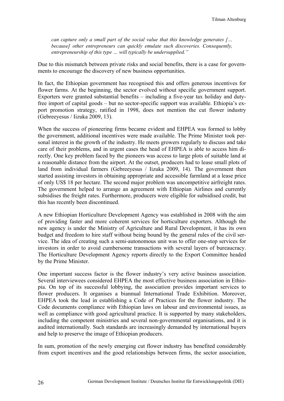*can capture only a small part of the social value that this knowledge generates [… because] other entrepreneurs can quickly emulate such discoveries. Consequently, entrepreneurship of this type … will typically be undersupplied."* 

Due to this mismatch between private risks and social benefits, there is a case for governments to encourage the discovery of new business opportunities.

In fact, the Ethiopian government has recognised this and offers generous incentives for flower farms. At the beginning, the sector evolved without specific government support. Exporters were granted substantial benefits – including a five-year tax holiday and dutyfree import of capital goods – but no sector-specific support was available. Ethiopia's export promotion strategy, ratified in 1998, does not mention the cut flower industry (Gebreeyesus / Iizuka 2009, 13).

When the success of pioneering firms became evident and EHPEA was formed to lobby the government, additional incentives were made available. The Prime Minister took personal interest in the growth of the industry. He meets growers regularly to discuss and take care of their problems, and in urgent cases the head of EHPEA is able to access him directly. One key problem faced by the pioneers was access to large plots of suitable land at a reasonable distance from the airport. At the outset, producers had to lease small plots of land from individual farmers (Gebreeyesus / Iizuka 2009, 14). The government then started assisting investors in obtaining appropriate and accessible farmland at a lease price of only US\$ 18 per hectare. The second major problem was uncompetitive airfreight rates. The government helped to arrange an agreement with Ethiopian Airlines and currently subsidises the freight rates. Furthermore, producers were eligible for subsidised credit, but this has recently been discontinued.

A new Ethiopian Horticulture Development Agency was established in 2008 with the aim of providing faster and more coherent services for horticulture exporters. Although the new agency is under the Ministry of Agriculture and Rural Development, it has its own budget and freedom to hire staff without being bound by the general rules of the civil service. The idea of creating such a semi-autonomous unit was to offer one-stop services for investors in order to avoid cumbersome transactions with several layers of bureaucracy. The Horticulture Development Agency reports directly to the Export Committee headed by the Prime Minister.

One important success factor is the flower industry's very active business association. Several interviewees considered EHPEA the most effective business association in Ethiopia. On top of its successful lobbying, the association provides important services to flower producers. It organises a biannual International Trade Exhibition. Moreover, EHPEA took the lead in establishing a Code of Practices for the flower industry. The Code documents compliance with Ethiopian laws on labour and environmental issues, as well as compliance with good agricultural practice. It is supported by many stakeholders, including the competent ministries and several non-governmental organisations, and it is audited internationally. Such standards are increasingly demanded by international buyers and help to preserve the image of Ethiopian producers.

In sum, promotion of the newly emerging cut flower industry has benefited considerably from export incentives and the good relationships between firms, the sector association,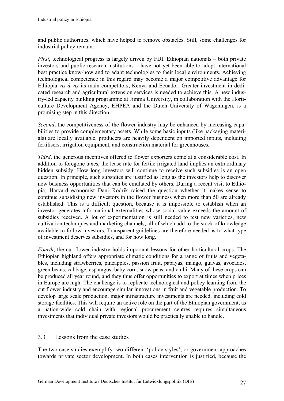and public authorities, which have helped to remove obstacles. Still, some challenges for industrial policy remain:

*First*, technological progress is largely driven by FDI. Ethiopian nationals – both private investors and public research institutions – have not yet been able to adopt international best practice know-how and to adapt technologies to their local environments. Achieving technological competence in this regard may become a major competitive advantage for Ethiopia *vis-à-vis* its main competitors, Kenya and Ecuador. Greater investment in dedicated research and agricultural extension services is needed to achieve this. A new industry-led capacity building programme at Jimma University, in collaboration with the Horticulture Development Agency, EHPEA and the Dutch University of Wageningen, is a promising step in this direction.

*Second*, the competitiveness of the flower industry may be enhanced by increasing capabilities to provide complementary assets. While some basic inputs (like packaging materials) are locally available, producers are heavily dependent on imported inputs, including fertilisers, irrigation equipment, and construction material for greenhouses.

*Third*, the generous incentives offered to flower exporters come at a considerable cost. In addition to foregone taxes, the lease rate for fertile irrigated land implies an extraordinary hidden subsidy. How long investors will continue to receive such subsidies is an open question. In principle, such subsidies are justified as long as the investors help to discover new business opportunities that can be emulated by others. During a recent visit to Ethiopia, Harvard economist Dani Rodrik raised the question whether it makes sense to continue subsidising new investors in the flower business when more than 50 are already established. This is a difficult question, because it is impossible to establish when an investor generates informational externalities whose social value exceeds the amount of subsidies received. A lot of experimentation is still needed to test new varieties, new cultivation techniques and marketing channels, all of which add to the stock of knowledge available to follow investors. Transparent guidelines are therefore needed as to what type of investment deserves subsidies, and for how long.

*Fourth*, the cut flower industry holds important lessons for other horticultural crops. The Ethiopian highland offers appropriate climatic conditions for a range of fruits and vegetables, including strawberries, pineapples, passion fruit, papayas, mango, guavas, avocados, green beans, cabbage, asparagus, baby corn, snow peas, and chilli. Many of these crops can be produced all year round, and they thus offer opportunities to export at times when prices in Europe are high. The challenge is to replicate technological and policy learning from the cut flower industry and encourage similar innovations in fruit and vegetable production. To develop large scale production, major infrastructure investments are needed, including cold storage facilities. This will require an active role on the part of the Ethiopian government, as a nation-wide cold chain with regional procurement centres requires simultaneous investments that individual private investors would be practically unable to handle.

## 3.3 Lessons from the case studies

The two case studies exemplify two different 'policy styles', or government approaches towards private sector development. In both cases intervention is justified, because the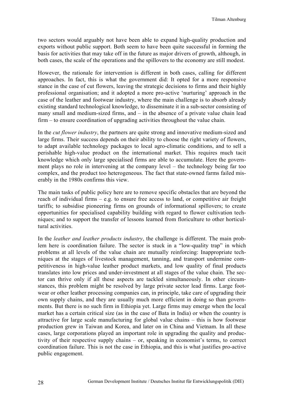two sectors would arguably not have been able to expand high-quality production and exports without public support. Both seem to have been quite successful in forming the basis for activities that may take off in the future as major drivers of growth, although, in both cases, the scale of the operations and the spillovers to the economy are still modest.

However, the rationale for intervention is different in both cases, calling for different approaches. In fact, this is what the government did: It opted for a more responsive stance in the case of cut flowers, leaving the strategic decisions to firms and their highly professional organisation; and it adopted a more pro-active 'nurturing' approach in the case of the leather and footwear industry, where the main challenge is to absorb already existing standard technological knowledge, to disseminate it in a sub-sector consisting of many small and medium-sized firms, and – in the absence of a private value chain lead firm – to ensure coordination of upgrading activities throughout the value chain.

In the *cut flower industry*, the partners are quite strong and innovative medium-sized and large firms. Their success depends on their ability to choose the right variety of flowers, to adapt available technology packages to local agro-climatic conditions, and to sell a perishable high-value product on the international market. This requires much tacit knowledge which only large specialised firms are able to accumulate. Here the government plays no role in intervening at the company level – the technology being far too complex, and the product too heterogeneous. The fact that state-owned farms failed miserably in the 1980s confirms this view.

The main tasks of public policy here are to remove specific obstacles that are beyond the reach of individual firms – e.g. to ensure free access to land, or competitive air freight tariffs; to subsidise pioneering firms on grounds of informational spillovers; to create opportunities for specialised capability building with regard to flower cultivation techniques; and to support the transfer of lessons learned from floriculture to other horticultural activities.

In the *leather and leather products industry*, the challenge is different. The main problem here is coordination failure. The sector is stuck in a "low-quality trap" in which problems at all levels of the value chain are mutually reinforcing: Inappropriate techniques at the stages of livestock management, tanning, and transport undermine competitiveness in high-value leather product markets, and low quality of final products translates into low prices and under-investment at all stages of the value chain. The sector can thrive only if all these aspects are tackled simultaneously. In other circumstances, this problem might be resolved by large private sector lead firms. Large footwear or other leather processing companies can, in principle, take care of upgrading their own supply chains, and they are usually much more efficient in doing so than governments. But there is no such firm in Ethiopia yet. Large firms may emerge when the local market has a certain critical size (as in the case of Bata in India) or when the country is attractive for large scale manufacturing for global value chains – this is how footwear production grew in Taiwan and Korea, and later on in China and Vietnam. In all these cases, large corporations played an important role in upgrading the quality and productivity of their respective supply chains – or, speaking in economist's terms, to correct coordination failure. This is not the case in Ethiopia, and this is what justifies pro-active public engagement.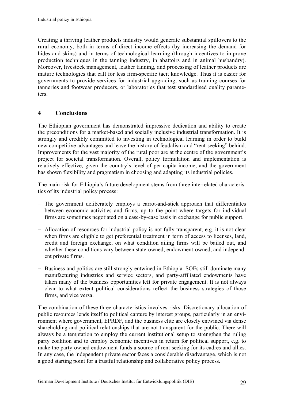Creating a thriving leather products industry would generate substantial spillovers to the rural economy, both in terms of direct income effects (by increasing the demand for hides and skins) and in terms of technological learning (through incentives to improve production techniques in the tanning industry, in abattoirs and in animal husbandry). Moreover, livestock management, leather tanning, and processing of leather products are mature technologies that call for less firm-specific tacit knowledge. Thus it is easier for governments to provide services for industrial upgrading, such as training courses for tanneries and footwear producers, or laboratories that test standardised quality parameters.

#### **4 Conclusions**

The Ethiopian government has demonstrated impressive dedication and ability to create the preconditions for a market-based and socially inclusive industrial transformation. It is strongly and credibly committed to investing in technological learning in order to build new competitive advantages and leave the history of feudalism and "rent-seeking" behind. Improvements for the vast majority of the rural poor are at the centre of the government's project for societal transformation. Overall, policy formulation and implementation is relatively effective, given the country's level of per-capita-income, and the government has shown flexibility and pragmatism in choosing and adapting its industrial policies.

The main risk for Ethiopia's future development stems from three interrelated characteristics of its industrial policy process:

- − The government deliberately employs a carrot-and-stick approach that differentiates between economic activities and firms, up to the point where targets for individual firms are sometimes negotiated on a case-by-case basis in exchange for public support.
- − Allocation of resources for industrial policy is not fully transparent, e.g. it is not clear when firms are eligible to get preferential treatment in term of access to licenses, land, credit and foreign exchange, on what condition ailing firms will be bailed out, and whether these conditions vary between state-owned, endowment-owned, and independent private firms.
- − Business and politics are still strongly entwined in Ethiopia. SOEs still dominate many manufacturing industries and service sectors, and party-affiliated endowments have taken many of the business opportunities left for private engagement. It is not always clear to what extent political considerations reflect the business strategies of those firms, and vice versa.

The combination of these three characteristics involves risks. Discretionary allocation of public resources lends itself to political capture by interest groups, particularly in an environment where government, EPRDF, and the business elite are closely entwined via dense shareholding and political relationships that are not transparent for the public. There will always be a temptation to employ the current institutional setup to strengthen the ruling party coalition and to employ economic incentives in return for political support, e.g. to make the party-owned endowment funds a source of rent-seeking for its cadres and allies. In any case, the independent private sector faces a considerable disadvantage, which is not a good starting point for a trustful relationship and collaborative policy process.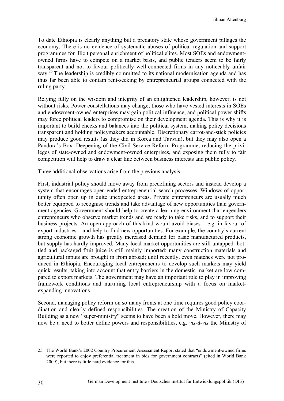To date Ethiopia is clearly anything but a predatory state whose government pillages the economy. There is no evidence of systematic abuses of political regulation and support programmes for illicit personal enrichment of political elites. Most SOEs and endowmentowned firms have to compete on a market basis, and public tenders seem to be fairly transparent and not to favour politically well-connected firms in any noticeably unfair way.<sup>25</sup> The leadership is credibly committed to its national modernisation agenda and has thus far been able to contain rent-seeking by entrepreneurial groups connected with the ruling party.

Relying fully on the wisdom and integrity of an enlightened leadership, however, is not without risks. Power constellations may change, those who have vested interests in SOEs and endowment-owned enterprises may gain political influence, and political power shifts may force political leaders to compromise on their development agenda. This is why it is important to build checks and balances into the political system, making policy decisions transparent and holding policymakers accountable. Discretionary carrot-and-stick policies may produce good results (as they did in Korea and Taiwan), but they may also open a Pandora's Box. Deepening of the Civil Service Reform Programme, reducing the privileges of state-owned and endowment-owned enterprises, and exposing them fully to fair competition will help to draw a clear line between business interests and public policy.

Three additional observations arise from the previous analysis.

First, industrial policy should move away from predefining sectors and instead develop a system that encourages open-ended entrepreneurial search processes. Windows of opportunity often open up in quite unexpected areas. Private entrepreneurs are usually much better equipped to recognise trends and take advantage of new opportunities than government agencies. Government should help to create a learning environment that engenders entrepreneurs who observe market trends and are ready to take risks, and to support their business projects. An open approach of this kind would avoid biases – e.g. in favour of export industries – and help to find new opportunities. For example, the country's current strong economic growth has greatly increased demand for basic manufactured products, but supply has hardly improved. Many local market opportunities are still untapped: bottled and packaged fruit juice is still mainly imported; many construction materials and agricultural inputs are brought in from abroad; until recently, even matches were not produced in Ethiopia. Encouraging local entrepreneurs to develop such markets may yield quick results, taking into account that entry barriers in the domestic market are low compared to export markets. The government may have an important role to play in improving framework conditions and nurturing local entrepreneurship with a focus on marketexpanding innovations.

Second, managing policy reform on so many fronts at one time requires good policy coordination and clearly defined responsibilities. The creation of the Ministry of Capacity Building as a new "super-ministry" seems to have been a bold move. However, there may now be a need to better define powers and responsibilities, e.g. *vis-à-vis* the Ministry of

<sup>25</sup> The World Bank's 2002 Country Procurement Assessment Report stated that "endowment-owned firms were reported to enjoy preferential treatment in bids for government contracts" (cited in World Bank 2009); but there is little hard evidence for this.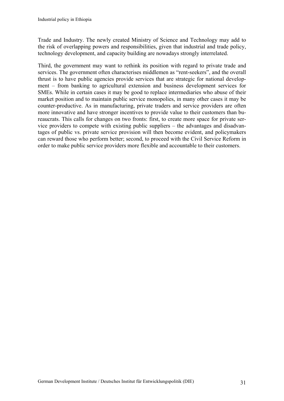Trade and Industry. The newly created Ministry of Science and Technology may add to the risk of overlapping powers and responsibilities, given that industrial and trade policy, technology development, and capacity building are nowadays strongly interrelated.

Third, the government may want to rethink its position with regard to private trade and services. The government often characterises middlemen as "rent-seekers", and the overall thrust is to have public agencies provide services that are strategic for national development – from banking to agricultural extension and business development services for SMEs. While in certain cases it may be good to replace intermediaries who abuse of their market position and to maintain public service monopolies, in many other cases it may be counter-productive. As in manufacturing, private traders and service providers are often more innovative and have stronger incentives to provide value to their customers than bureaucrats. This calls for changes on two fronts: first, to create more space for private service providers to compete with existing public suppliers – the advantages and disadvantages of public vs. private service provision will then become evident, and policymakers can reward those who perform better; second, to proceed with the Civil Service Reform in order to make public service providers more flexible and accountable to their customers.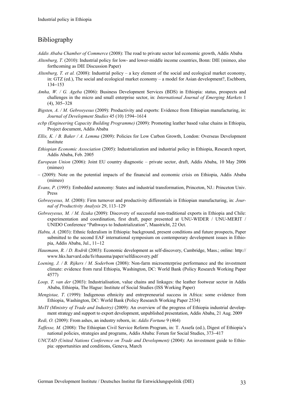## Bibliography

- *Addis Ababa Chamber of Commerce* (2008): The road to private sector led economic growth, Addis Ababa
- *Altenburg, T.* (2010): Industrial policy for low- and lower-middle income countries, Bonn: DIE (mimeo, also forthcoming as DIE Discussion Paper)
- *Altenburg, T. et al.* (2008): Industrial policy a key element of the social and ecological market economy, in: GTZ (ed.), The social and ecological market economy – a model for Asian development?, Eschborn, 134−153
- *Amha, W. / G. Ageba* (2006): Business Development Services (BDS) in Ethiopia: status, prospects and challenges in the micro and small enterprise sector, in: *International Journal of Emerging Markets* 1 (4), 305−328
- *Bigsten, A. / M. Gebreeyesus* (2009): Productivity and exports: Evidence from Ethiopian manufacturing, in: *Journal of Development Studies* 45 (10) 1594−1614
- *ecbp (Engineering Capacity Building Programme)* (2009): Promoting leather based value chains in Ethiopia, Project document, Addis Ababa
- *Ellis, K. / B. Baker / A. Lemma* (2009): Policies for Low Carbon Growth, London: Overseas Development Institute
- *Ethiopian Economic Association* (2005): Industrialization and industrial policy in Ethiopia, Research report, Addis Ababa, Feb. 2005
- *European Union* (2006): Joint EU country diagnostic private sector, draft, Addis Ababa, 10 May 2006 (mimeo)
- (2009): Note on the potential impacts of the financial and economic crisis on Ethiopia, Addis Ababa (mimeo)
- *Evans, P.* (1995): Embedded autonomy: States and industrial transformation, Princeton, NJ.: Princeton Univ. Press
- *Gebreeyesus, M.* (2008): Firm turnover and productivity differentials in Ethiopian manufacturing, in: *Journal of Productivity Analysis* 29, 113–129
- *Gebreeyesus, M. / M. Iizuka* (2009): Discovery of successful non-traditional exports in Ethiopia and Chile: experimentation and coordination, first draft, paper presented at UNU-WIDER / UNU-MERIT / UNIDO Conference "Pathways to Industrialization", Maastricht, 22 Oct.
- *Habtu, A.* (2003): Ethnic federalism in Ethiopia: background, present conditions and future prospects, Paper submitted to the second EAF international symposium on contemporary development issues in Ethiopia, Addis Ababa, Jul., 11−12
- *Hausmann, R. / D. Rodrik* (2003): Economic development as self-discovery, Cambridge, Mass.; online: http:// www.hks.harvard.edu/fs/rhausma/paper/selfdiscovery.pdf
- *Loening, J. / B. Rijkers / M. Soderbom* (2008): Non-farm microenterprise performance and the investment climate: evidence from rural Ethiopia, Washington, DC: World Bank (Policy Research Working Paper 4577)
- *Loop, T. van der* (2003): Industrialisation, value chains and linkages: the leather footwear sector in Addis Ababa, Ethiopia, The Hague: Institute of Social Studies (ISS Working Paper)
- *Mengistae, T*. (1999): Indigenous ethnicity and entrepreneurial success in Africa: some evidence from Ethiopia, Washington, DC: World Bank (Policy Research Working Paper 2534)
- *MoTI (Ministry of Trade and Industry)* (2009): An overview of the progress of Ethiopia industrial development strategy and support to export development, unpublished presentation, Addis Ababa, 21 Aug. 2009
- *Redi, O.* (2009): From ashes, an industry reborn, in: *Addis Fortune* 9 (464)
- *Taffesse, M.* (2008): The Ethiopian Civil Service Reform Program, in: T. Assefa (ed.), Digest of Ethiopia's national policies, strategies and programs, Addis Ababa: Forum for Social Studies, 373−417
- *UNCTAD (United Nations Conference on Trade and Development)* (2004): An investment guide to Ethiopia: opportunities and conditions, Geneva, March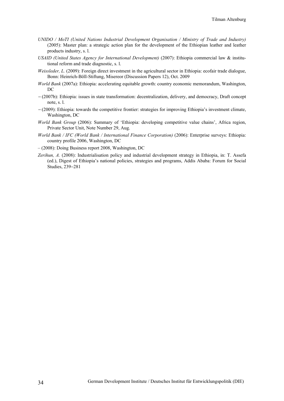- *UNIDO / MoTI (United Nations Industrial Development Organisation / Ministry of Trade and Industry)* (2005): Master plan: a strategic action plan for the development of the Ethiopian leather and leather products industry, s. l.
- *USAID (United States Agency for International Development)* (2007): Ethiopia commercial law & institutional reform and trade diagnostic, s. l.
- *Weissleder, L.* (2009): Foreign direct investment in the agricultural sector in Ethiopia: ecofair trade dialogue, Bonn: Heinrich-Böll-Stiftung, Misereor (Discussion Papers 12), Oct. 2009
- *World Bank* (2007a): Ethiopia: accelerating equitable growth: country economic memorandum, Washington, DC
- − (2007b): Ethiopia: issues in state transformation: decentralization, delivery, and democracy, Draft concept note, s. l.
- − (2009): Ethiopia: towards the competitive frontier: strategies for improving Ethiopia's investment climate, Washington, DC
- *World Bank Group* (2006): Summary of 'Ethiopia: developing competitive value chains', Africa region, Private Sector Unit, Note Number 29, Aug.
- *World Bank / IFC (World Bank / International Finance Corporation)* (2006): Enterprise surveys: Ethiopia: country profile 2006, Washington, DC
- (2008): Doing Business report 2008, Washington, DC
- *Zerihun, A.* (2008): Industrialisation policy and industrial development strategy in Ethiopia, in: T. Assefa (ed.), Digest of Ethiopia's national policies, strategies and programs, Addis Ababa: Forum for Social Studies, 239−281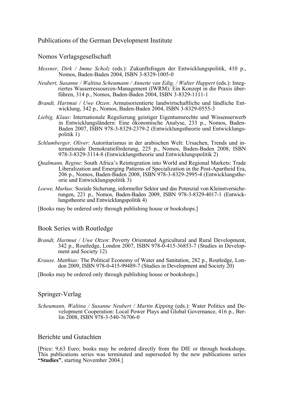#### Publications of the German Development Institute

#### Nomos Verlagsgesellschaft

- *Messner, Dirk / Imme Scholz* (eds.): Zukunftsfragen der Entwicklungspolitik, 410 p., Nomos, Baden-Baden 2004, ISBN 3-8329-1005-0
- *Neubert, Susanne / Waltina Scheumann / Annette van Edig, / Walter Huppert (eds.): Integ*riertes Wasserressourcen-Management (IWRM): Ein Konzept in die Praxis überführen, 314 p., Nomos, Baden-Baden 2004, ISBN 3-8329-1111-1
- *Brandt, Hartmut / Uwe Otzen*: Armutsorientierte landwirtschaftliche und ländliche Entwicklung, 342 p., Nomos, Baden-Baden 2004, ISBN 3-8329-0555-3
- *Liebig, Klaus*: Internationale Regulierung geistiger Eigentumsrechte und Wissenserwerb in Entwicklungsländern: Eine ökonomische Analyse, 233 p., Nomos, Baden-Baden 2007, ISBN 978-3-8329-2379-2 (Entwicklungstheorie und Entwicklungspolitik 1)
- *Schlumberger, Oliver*: Autoritarismus in der arabischen Welt: Ursachen, Trends und internationale Demokratieförderung, 225 p., Nomos, Baden-Baden 2008, ISBN 978-3-8329-3114-8 (Entwicklungstheorie und Entwicklungspolitik 2)
- *Qualmann, Regine*: South Africa's Reintegration into World and Regional Markets: Trade Liberalization and Emerging Patterns of Specialization in the Post-Apartheid Era, 206 p., Nomos, Baden-Baden 2008, ISBN 978-3-8329-2995-4 (Entwicklungstheorie und Entwicklungspolitik 3)
- *Loewe, Markus:* Soziale Sicherung, informeller Sektor und das Potenzial von Kleinstversicherungen, 221 p., Nomos, Baden-Baden 2009, ISBN 978-3-8329-4017-1 (Entwicklungstheorie und Entwicklungspolitik 4)
- [Books may be ordered only through publishing house or bookshops.]

#### Book Series with Routledge

- *Brandt, Hartmut / Uwe Otzen*: Poverty Orientated Agricultural and Rural Development, 342 p., Routledge, London 2007, ISBN 978-0-415-36853-7 (Studies in Development and Society 12)
- *Krause, Matthias:* The Political Economy of Water and Sanitation, 282 p., Routledge, London 2009, ISBN 978-0-415-99489-7 (Studies in Development and Society 20)
- [Books may be ordered only through publishing house or bookshops.]

#### Springer-Verlag

*Scheumann, Waltina / Susanne Neubert / Martin Kipping* (eds.): Water Politics and Development Cooperation: Local Power Plays and Global Governance, 416 p., Berlin 2008, ISBN 978-3-540-76706-0

#### Berichte und Gutachten

[Price: 9,63 Euro; books may be ordered directly from the DIE or through bookshops. This publications series was terminated and superseded by the new publications series **"Studies"**, starting November 2004.]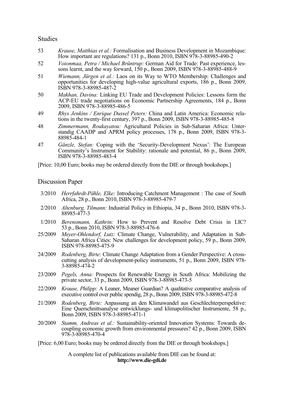#### Studies

- 53 *Krause, Matthias et al.:* Formalisation and Business Development in Mozambique: How important are regulations? 131 p., Bonn 2010, ISBN 978-3-88985-490-2
- 52 *Voionmaa, Petra / Michael Brüntrup:* German Aid for Trade: Past experience, lessons learnt, and the way forward, 150 p., Bonn 2009, ISBN 978-3-88985-488-9
- 51 *Wiemann, Jürgen et al.:* Laos on its Way to WTO Membership: Challenges and opportunities for developing high-value agricultural exports, 186 p., Bonn 2009, ISBN 978-3-88985-487-2
- 50 *Makhan, Davina:* Linking EU Trade and Development Policies: Lessons form the ACP-EU trade negotiations on Economic Partnership Agreements, 184 p., Bonn 2009, ISBN 978-3-88985-486-5
- 49 *Rhys Jenkins / Enrique Dussel Peters:* China and Latin America: Economic relations in the twenty-first century, 397 p., Bonn 2009, ISBN 978-3-88985-485-8
- 48 *Zimmermann, Roukayatou:* Agricultaral Policies in Sub-Saharan Africa: Unterstandig CAADP and APRM policy processes, 178 p., Bonn 2009, ISBN 978-3- 88985-484-1
- 47 *Gänzle, Stefan:* Coping with the 'Security-Development Nexus': The European Community's Instrument for Stability: rationale and potential, 86 p., Bonn 2009, ISBN 978-3-88985-483-4

[Price: 10,00 Euro; books may be ordered directly from the DIE or through bookshops.]

#### Discussion Paper

- 3/2010 *Herrfahrdt-Pähle, Elke:* Introducing Catchment Management : The case of South Africa, 28 p., Bonn 2010, ISBN 978-3-88985-479-7
- 2/2010 *Altenburg, Tilmann:* Industrial Policy in Ethiopia, 34 p., Bonn 2010, ISBN 978-3- 88985-477-3
- 1/2010 *Berensmann, Kathrin:* How to Prevent and Resolve Debt Crisis in LIC? 53 p., Bonn 2010, ISBN 978-3-88985-476-6
- 25/2009 *Meyer-Ohlendorf, Lutz:* Climate Change, Vulnerability, and Adaptation in Sub-Saharan Africa Cities: New challenges for development policy, 59 p., Bonn 2009, ISBN 978-88985-475-9
- 24/2009 *Rodenberg, Birte:* Climate Change Adaptation from a Gender Perspective: A crosscutting analysis of development-policy instruments, 51 p., Bonn 2009, ISBN 978- 3-88985-474-2
- 23/2009 *Pegels, Anna:* Prospects for Renewable Energy in South Africa: Mobilizing the private sector, 33 p., Bonn 2009, ISBN 978-3-88985-473-5
- 22/2009 *Krause, Philipp:* A Leaner, Meaner Guardian? A qualitative comparative analysis of executive control over public spendig, 28 p., Bonn 2009, ISBN 978-3-88985-472-8
- 21/2009 *Rodenberg, Birte:* Anpassung an den Klimawandel aus Geschlechterperspektive: Eine Querschnittsanalyse entwicklungs- und klimapolitischer Instrumente, 58 p., Bonn 2009, ISBN 978-3-88985-471-1
- 20/2009 *Stamm, Andreas et al.:* Sustainability-oriented Innovation Systems: Towards decoupling economic growth from environmental pressures? 42 p., Bonn 2009, ISBN 978-3-88985-470-4

[Price: 6,00 Euro; books may be ordered directly from the DIE or through bookshops.]

A complete list of publications available from DIE can be found at: **http://www.die-gdi.de**